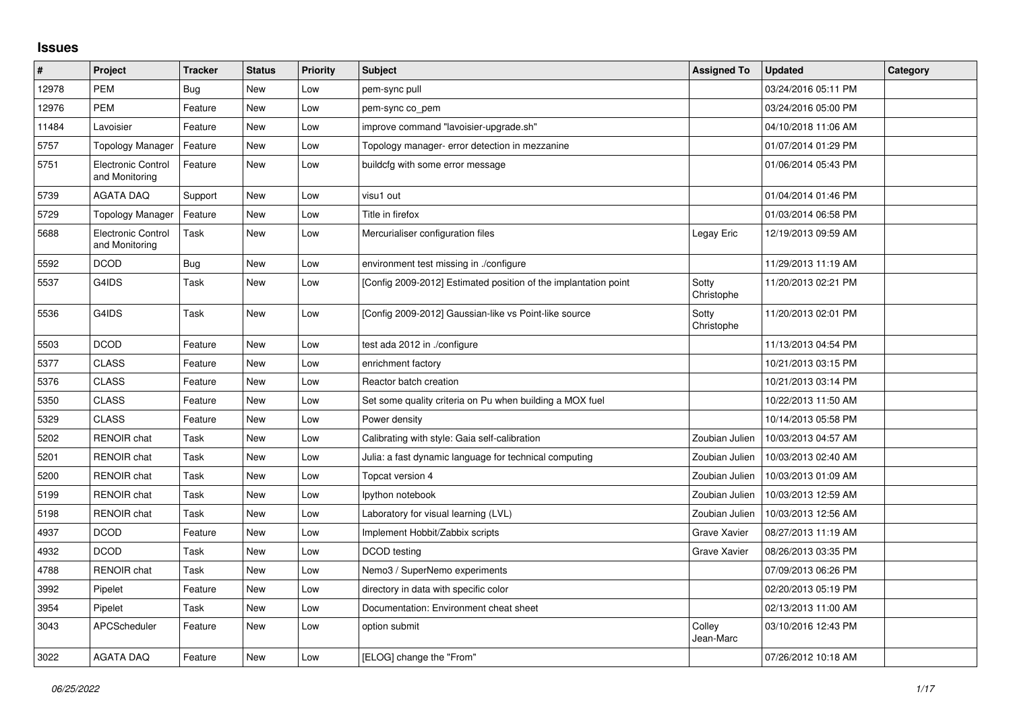## **Issues**

| $\vert$ # | Project                                     | <b>Tracker</b> | <b>Status</b> | Priority | <b>Subject</b>                                                  | <b>Assigned To</b>  | <b>Updated</b>      | Category |
|-----------|---------------------------------------------|----------------|---------------|----------|-----------------------------------------------------------------|---------------------|---------------------|----------|
| 12978     | <b>PEM</b>                                  | Bug            | <b>New</b>    | Low      | pem-sync pull                                                   |                     | 03/24/2016 05:11 PM |          |
| 12976     | <b>PEM</b>                                  | Feature        | <b>New</b>    | Low      | pem-sync co_pem                                                 |                     | 03/24/2016 05:00 PM |          |
| 11484     | Lavoisier                                   | Feature        | <b>New</b>    | Low      | improve command "lavoisier-upgrade.sh"                          |                     | 04/10/2018 11:06 AM |          |
| 5757      | <b>Topology Manager</b>                     | Feature        | <b>New</b>    | Low      | Topology manager- error detection in mezzanine                  |                     | 01/07/2014 01:29 PM |          |
| 5751      | <b>Electronic Control</b><br>and Monitoring | Feature        | <b>New</b>    | Low      | buildcfg with some error message                                |                     | 01/06/2014 05:43 PM |          |
| 5739      | <b>AGATA DAQ</b>                            | Support        | <b>New</b>    | Low      | visu1 out                                                       |                     | 01/04/2014 01:46 PM |          |
| 5729      | <b>Topology Manager</b>                     | Feature        | New           | Low      | Title in firefox                                                |                     | 01/03/2014 06:58 PM |          |
| 5688      | Electronic Control<br>and Monitoring        | Task           | <b>New</b>    | Low      | Mercurialiser configuration files                               | Legay Eric          | 12/19/2013 09:59 AM |          |
| 5592      | <b>DCOD</b>                                 | Bug            | <b>New</b>    | Low      | environment test missing in ./configure                         |                     | 11/29/2013 11:19 AM |          |
| 5537      | G4IDS                                       | Task           | <b>New</b>    | Low      | [Config 2009-2012] Estimated position of the implantation point | Sotty<br>Christophe | 11/20/2013 02:21 PM |          |
| 5536      | G4IDS                                       | Task           | <b>New</b>    | Low      | [Config 2009-2012] Gaussian-like vs Point-like source           | Sotty<br>Christophe | 11/20/2013 02:01 PM |          |
| 5503      | <b>DCOD</b>                                 | Feature        | <b>New</b>    | Low      | test ada 2012 in ./configure                                    |                     | 11/13/2013 04:54 PM |          |
| 5377      | <b>CLASS</b>                                | Feature        | <b>New</b>    | Low      | enrichment factory                                              |                     | 10/21/2013 03:15 PM |          |
| 5376      | <b>CLASS</b>                                | Feature        | <b>New</b>    | Low      | Reactor batch creation                                          |                     | 10/21/2013 03:14 PM |          |
| 5350      | <b>CLASS</b>                                | Feature        | <b>New</b>    | Low      | Set some quality criteria on Pu when building a MOX fuel        |                     | 10/22/2013 11:50 AM |          |
| 5329      | <b>CLASS</b>                                | Feature        | <b>New</b>    | Low      | Power density                                                   |                     | 10/14/2013 05:58 PM |          |
| 5202      | <b>RENOIR</b> chat                          | Task           | <b>New</b>    | Low      | Calibrating with style: Gaia self-calibration                   | Zoubian Julien      | 10/03/2013 04:57 AM |          |
| 5201      | <b>RENOIR</b> chat                          | Task           | <b>New</b>    | Low      | Julia: a fast dynamic language for technical computing          | Zoubian Julien      | 10/03/2013 02:40 AM |          |
| 5200      | <b>RENOIR</b> chat                          | Task           | <b>New</b>    | Low      | Topcat version 4                                                | Zoubian Julien      | 10/03/2013 01:09 AM |          |
| 5199      | <b>RENOIR</b> chat                          | Task           | <b>New</b>    | Low      | lpython notebook                                                | Zoubian Julien      | 10/03/2013 12:59 AM |          |
| 5198      | <b>RENOIR</b> chat                          | Task           | <b>New</b>    | Low      | Laboratory for visual learning (LVL)                            | Zoubian Julien      | 10/03/2013 12:56 AM |          |
| 4937      | <b>DCOD</b>                                 | Feature        | <b>New</b>    | Low      | Implement Hobbit/Zabbix scripts                                 | <b>Grave Xavier</b> | 08/27/2013 11:19 AM |          |
| 4932      | <b>DCOD</b>                                 | Task           | <b>New</b>    | Low      | DCOD testing                                                    | Grave Xavier        | 08/26/2013 03:35 PM |          |
| 4788      | <b>RENOIR chat</b>                          | Task           | <b>New</b>    | Low      | Nemo3 / SuperNemo experiments                                   |                     | 07/09/2013 06:26 PM |          |
| 3992      | Pipelet                                     | Feature        | <b>New</b>    | Low      | directory in data with specific color                           |                     | 02/20/2013 05:19 PM |          |
| 3954      | Pipelet                                     | Task           | <b>New</b>    | Low      | Documentation: Environment cheat sheet                          |                     | 02/13/2013 11:00 AM |          |
| 3043      | APCScheduler                                | Feature        | New           | Low      | option submit                                                   | Colley<br>Jean-Marc | 03/10/2016 12:43 PM |          |
| 3022      | <b>AGATA DAQ</b>                            | Feature        | <b>New</b>    | Low      | [ELOG] change the "From"                                        |                     | 07/26/2012 10:18 AM |          |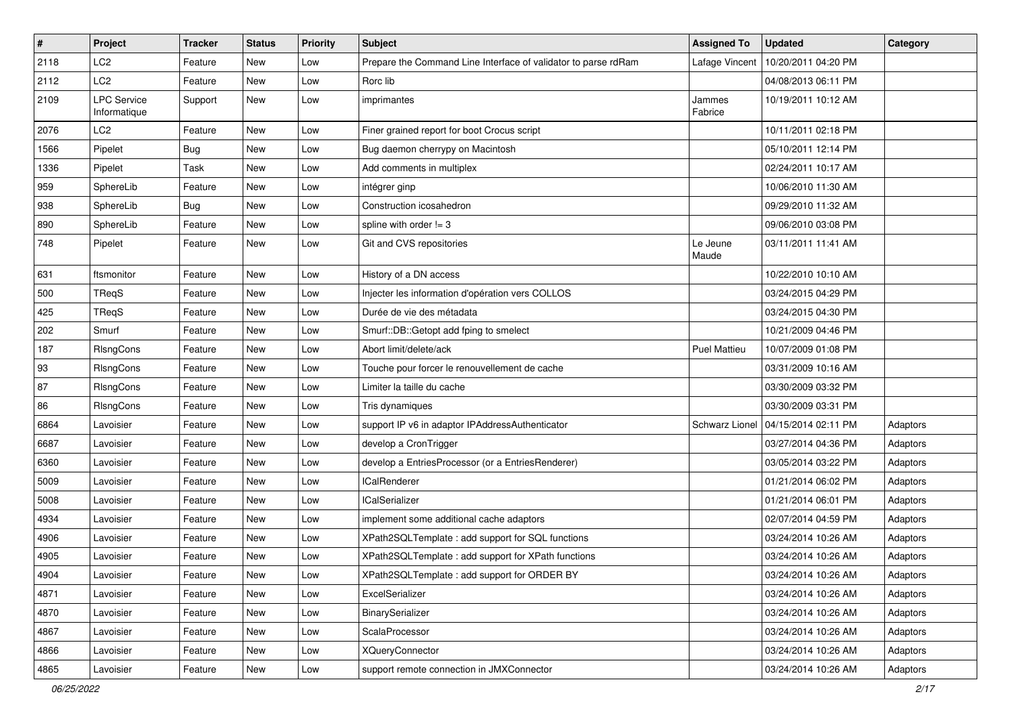| #    | Project                            | <b>Tracker</b> | <b>Status</b> | <b>Priority</b> | <b>Subject</b>                                                 | <b>Assigned To</b>  | <b>Updated</b>      | Category |
|------|------------------------------------|----------------|---------------|-----------------|----------------------------------------------------------------|---------------------|---------------------|----------|
| 2118 | LC <sub>2</sub>                    | Feature        | New           | Low             | Prepare the Command Line Interface of validator to parse rdRam | Lafage Vincent      | 10/20/2011 04:20 PM |          |
| 2112 | LC <sub>2</sub>                    | Feature        | New           | Low             | Rorc lib                                                       |                     | 04/08/2013 06:11 PM |          |
| 2109 | <b>LPC Service</b><br>Informatique | Support        | New           | Low             | imprimantes                                                    | Jammes<br>Fabrice   | 10/19/2011 10:12 AM |          |
| 2076 | LC <sub>2</sub>                    | Feature        | <b>New</b>    | Low             | Finer grained report for boot Crocus script                    |                     | 10/11/2011 02:18 PM |          |
| 1566 | Pipelet                            | <b>Bug</b>     | New           | Low             | Bug daemon cherrypy on Macintosh                               |                     | 05/10/2011 12:14 PM |          |
| 1336 | Pipelet                            | Task           | <b>New</b>    | Low             | Add comments in multiplex                                      |                     | 02/24/2011 10:17 AM |          |
| 959  | SphereLib                          | Feature        | New           | Low             | intégrer ginp                                                  |                     | 10/06/2010 11:30 AM |          |
| 938  | SphereLib                          | <b>Bug</b>     | New           | Low             | Construction icosahedron                                       |                     | 09/29/2010 11:32 AM |          |
| 890  | SphereLib                          | Feature        | New           | Low             | spline with order $!= 3$                                       |                     | 09/06/2010 03:08 PM |          |
| 748  | Pipelet                            | Feature        | New           | Low             | Git and CVS repositories                                       | Le Jeune<br>Maude   | 03/11/2011 11:41 AM |          |
| 631  | ftsmonitor                         | Feature        | <b>New</b>    | Low             | History of a DN access                                         |                     | 10/22/2010 10:10 AM |          |
| 500  | TReqS                              | Feature        | New           | Low             | Injecter les information d'opération vers COLLOS               |                     | 03/24/2015 04:29 PM |          |
| 425  | TReqS                              | Feature        | <b>New</b>    | Low             | Durée de vie des métadata                                      |                     | 03/24/2015 04:30 PM |          |
| 202  | Smurf                              | Feature        | New           | Low             | Smurf::DB::Getopt add fping to smelect                         |                     | 10/21/2009 04:46 PM |          |
| 187  | RIsngCons                          | Feature        | New           | Low             | Abort limit/delete/ack                                         | <b>Puel Mattieu</b> | 10/07/2009 01:08 PM |          |
| 93   | RIsngCons                          | Feature        | New           | Low             | Touche pour forcer le renouvellement de cache                  |                     | 03/31/2009 10:16 AM |          |
| 87   | RIsngCons                          | Feature        | New           | Low             | Limiter la taille du cache                                     |                     | 03/30/2009 03:32 PM |          |
| 86   | RIsngCons                          | Feature        | <b>New</b>    | Low             | Tris dynamiques                                                |                     | 03/30/2009 03:31 PM |          |
| 6864 | Lavoisier                          | Feature        | New           | Low             | support IP v6 in adaptor IPAddressAuthenticator                | Schwarz Lionel      | 04/15/2014 02:11 PM | Adaptors |
| 6687 | Lavoisier                          | Feature        | New           | Low             | develop a CronTrigger                                          |                     | 03/27/2014 04:36 PM | Adaptors |
| 6360 | Lavoisier                          | Feature        | <b>New</b>    | Low             | develop a EntriesProcessor (or a EntriesRenderer)              |                     | 03/05/2014 03:22 PM | Adaptors |
| 5009 | Lavoisier                          | Feature        | New           | Low             | <b>ICalRenderer</b>                                            |                     | 01/21/2014 06:02 PM | Adaptors |
| 5008 | Lavoisier                          | Feature        | New           | Low             | <b>ICalSerializer</b>                                          |                     | 01/21/2014 06:01 PM | Adaptors |
| 4934 | Lavoisier                          | Feature        | New           | Low             | implement some additional cache adaptors                       |                     | 02/07/2014 04:59 PM | Adaptors |
| 4906 | Lavoisier                          | Feature        | New           | Low             | XPath2SQLTemplate : add support for SQL functions              |                     | 03/24/2014 10:26 AM | Adaptors |
| 4905 | Lavoisier                          | Feature        | <b>New</b>    | Low             | XPath2SQLTemplate : add support for XPath functions            |                     | 03/24/2014 10:26 AM | Adaptors |
| 4904 | Lavoisier                          | Feature        | New           | Low             | XPath2SQLTemplate: add support for ORDER BY                    |                     | 03/24/2014 10:26 AM | Adaptors |
| 4871 | Lavoisier                          | Feature        | New           | Low             | ExcelSerializer                                                |                     | 03/24/2014 10:26 AM | Adaptors |
| 4870 | Lavoisier                          | Feature        | New           | Low             | BinarySerializer                                               |                     | 03/24/2014 10:26 AM | Adaptors |
| 4867 | Lavoisier                          | Feature        | New           | Low             | ScalaProcessor                                                 |                     | 03/24/2014 10:26 AM | Adaptors |
| 4866 | Lavoisier                          | Feature        | New           | Low             | <b>XQueryConnector</b>                                         |                     | 03/24/2014 10:26 AM | Adaptors |
| 4865 | Lavoisier                          | Feature        | New           | Low             | support remote connection in JMXConnector                      |                     | 03/24/2014 10:26 AM | Adaptors |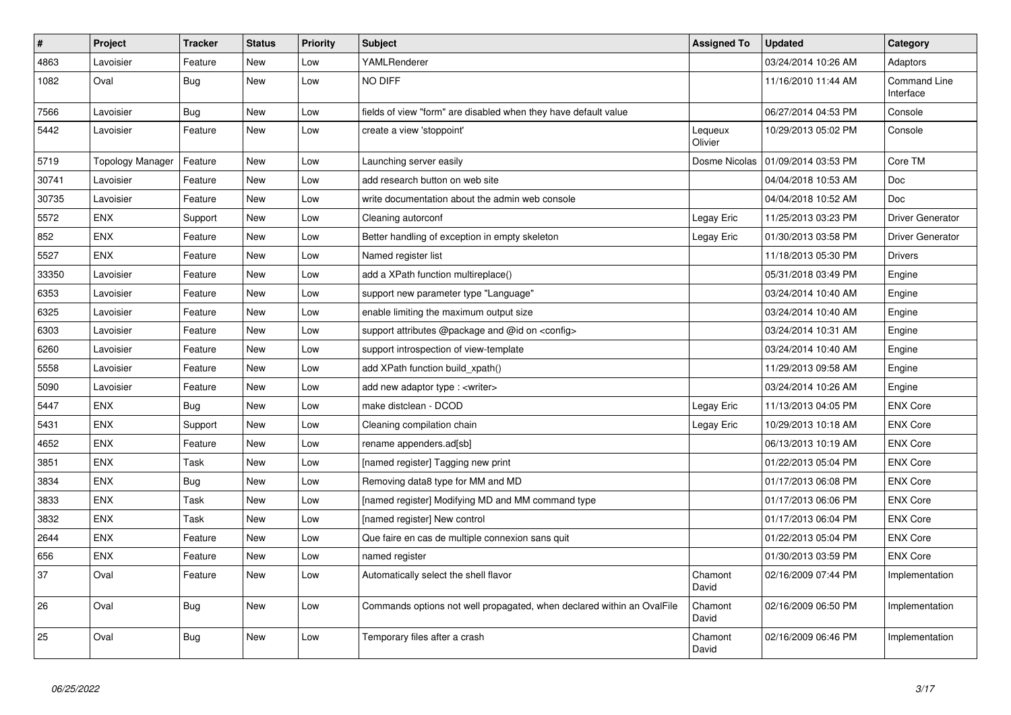| #     | Project                 | <b>Tracker</b> | <b>Status</b> | <b>Priority</b> | <b>Subject</b>                                                         | <b>Assigned To</b> | <b>Updated</b>      | Category                  |
|-------|-------------------------|----------------|---------------|-----------------|------------------------------------------------------------------------|--------------------|---------------------|---------------------------|
| 4863  | Lavoisier               | Feature        | <b>New</b>    | Low             | YAMLRenderer                                                           |                    | 03/24/2014 10:26 AM | Adaptors                  |
| 1082  | Oval                    | Bug            | <b>New</b>    | Low             | <b>NO DIFF</b>                                                         |                    | 11/16/2010 11:44 AM | Command Line<br>Interface |
| 7566  | Lavoisier               | Bug            | <b>New</b>    | Low             | fields of view "form" are disabled when they have default value        |                    | 06/27/2014 04:53 PM | Console                   |
| 5442  | Lavoisier               | Feature        | <b>New</b>    | Low             | create a view 'stoppoint'                                              | Lequeux<br>Olivier | 10/29/2013 05:02 PM | Console                   |
| 5719  | <b>Topology Manager</b> | Feature        | <b>New</b>    | Low             | Launching server easily                                                | Dosme Nicolas      | 01/09/2014 03:53 PM | Core TM                   |
| 30741 | Lavoisier               | Feature        | <b>New</b>    | Low             | add research button on web site                                        |                    | 04/04/2018 10:53 AM | Doc                       |
| 30735 | Lavoisier               | Feature        | <b>New</b>    | Low             | write documentation about the admin web console                        |                    | 04/04/2018 10:52 AM | Doc                       |
| 5572  | <b>ENX</b>              | Support        | <b>New</b>    | Low             | Cleaning autorconf                                                     | Legay Eric         | 11/25/2013 03:23 PM | Driver Generator          |
| 852   | <b>ENX</b>              | Feature        | New           | Low             | Better handling of exception in empty skeleton                         | Legay Eric         | 01/30/2013 03:58 PM | <b>Driver Generator</b>   |
| 5527  | <b>ENX</b>              | Feature        | <b>New</b>    | Low             | Named register list                                                    |                    | 11/18/2013 05:30 PM | <b>Drivers</b>            |
| 33350 | Lavoisier               | Feature        | <b>New</b>    | Low             | add a XPath function multireplace()                                    |                    | 05/31/2018 03:49 PM | Engine                    |
| 6353  | Lavoisier               | Feature        | <b>New</b>    | Low             | support new parameter type "Language"                                  |                    | 03/24/2014 10:40 AM | Engine                    |
| 6325  | Lavoisier               | Feature        | New           | Low             | enable limiting the maximum output size                                |                    | 03/24/2014 10:40 AM | Engine                    |
| 6303  | Lavoisier               | Feature        | New           | Low             | support attributes @package and @id on <config></config>               |                    | 03/24/2014 10:31 AM | Engine                    |
| 6260  | Lavoisier               | Feature        | <b>New</b>    | Low             | support introspection of view-template                                 |                    | 03/24/2014 10:40 AM | Engine                    |
| 5558  | Lavoisier               | Feature        | New           | Low             | add XPath function build_xpath()                                       |                    | 11/29/2013 09:58 AM | Engine                    |
| 5090  | Lavoisier               | Feature        | <b>New</b>    | Low             | add new adaptor type : <writer></writer>                               |                    | 03/24/2014 10:26 AM | Engine                    |
| 5447  | <b>ENX</b>              | <b>Bug</b>     | New           | Low             | make distclean - DCOD                                                  | Legay Eric         | 11/13/2013 04:05 PM | <b>ENX Core</b>           |
| 5431  | <b>ENX</b>              | Support        | New           | Low             | Cleaning compilation chain                                             | Legay Eric         | 10/29/2013 10:18 AM | <b>ENX Core</b>           |
| 4652  | <b>ENX</b>              | Feature        | New           | Low             | rename appenders.ad[sb]                                                |                    | 06/13/2013 10:19 AM | ENX Core                  |
| 3851  | <b>ENX</b>              | Task           | New           | Low             | [named register] Tagging new print                                     |                    | 01/22/2013 05:04 PM | <b>ENX Core</b>           |
| 3834  | <b>ENX</b>              | Bug            | <b>New</b>    | Low             | Removing data8 type for MM and MD                                      |                    | 01/17/2013 06:08 PM | <b>ENX Core</b>           |
| 3833  | <b>ENX</b>              | Task           | <b>New</b>    | Low             | [named register] Modifying MD and MM command type                      |                    | 01/17/2013 06:06 PM | <b>ENX Core</b>           |
| 3832  | <b>ENX</b>              | Task           | <b>New</b>    | Low             | [named register] New control                                           |                    | 01/17/2013 06:04 PM | <b>ENX Core</b>           |
| 2644  | <b>ENX</b>              | Feature        | New           | Low             | Que faire en cas de multiple connexion sans quit                       |                    | 01/22/2013 05:04 PM | <b>ENX Core</b>           |
| 656   | <b>ENX</b>              | Feature        | <b>New</b>    | Low             | named register                                                         |                    | 01/30/2013 03:59 PM | <b>ENX Core</b>           |
| 37    | Oval                    | Feature        | New           | Low             | Automatically select the shell flavor                                  | Chamont<br>David   | 02/16/2009 07:44 PM | Implementation            |
| 26    | Oval                    | Bug            | New           | Low             | Commands options not well propagated, when declared within an OvalFile | Chamont<br>David   | 02/16/2009 06:50 PM | Implementation            |
| 25    | Oval                    | <b>Bug</b>     | New           | Low             | Temporary files after a crash                                          | Chamont<br>David   | 02/16/2009 06:46 PM | Implementation            |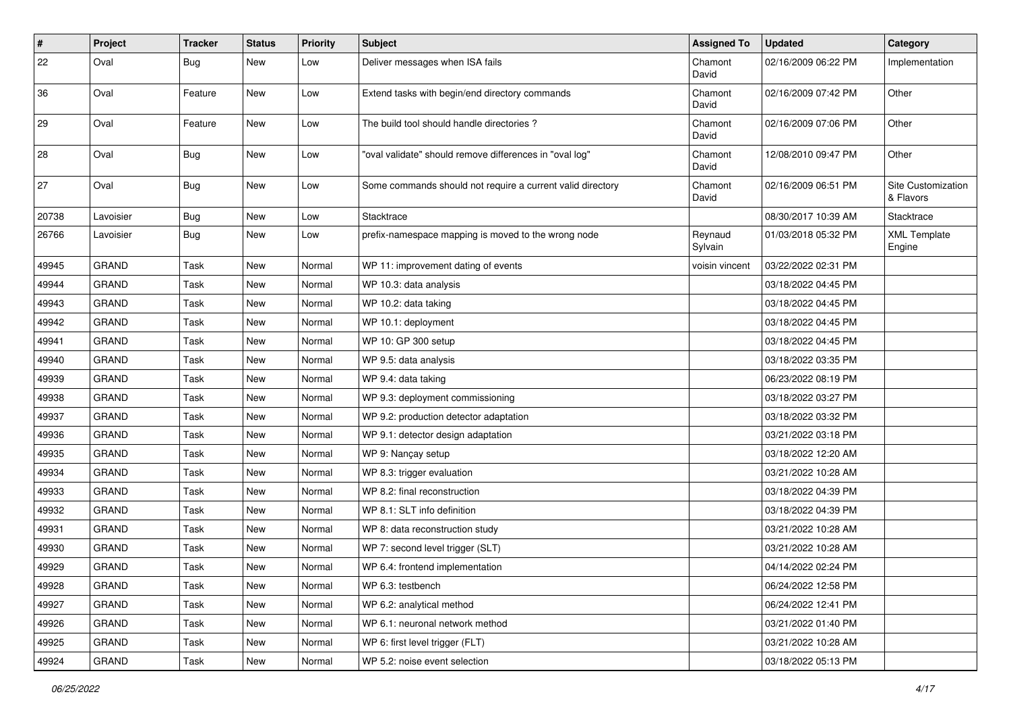| #     | Project      | <b>Tracker</b> | <b>Status</b> | <b>Priority</b> | <b>Subject</b>                                             | <b>Assigned To</b> | <b>Updated</b>      | Category                        |
|-------|--------------|----------------|---------------|-----------------|------------------------------------------------------------|--------------------|---------------------|---------------------------------|
| 22    | Oval         | <b>Bug</b>     | New           | Low             | Deliver messages when ISA fails                            | Chamont<br>David   | 02/16/2009 06:22 PM | Implementation                  |
| 36    | Oval         | Feature        | New           | Low             | Extend tasks with begin/end directory commands             | Chamont<br>David   | 02/16/2009 07:42 PM | Other                           |
| 29    | Oval         | Feature        | New           | Low             | The build tool should handle directories?                  | Chamont<br>David   | 02/16/2009 07:06 PM | Other                           |
| 28    | Oval         | <b>Bug</b>     | New           | Low             | "oval validate" should remove differences in "oval log"    | Chamont<br>David   | 12/08/2010 09:47 PM | Other                           |
| 27    | Oval         | <b>Bug</b>     | New           | Low             | Some commands should not require a current valid directory | Chamont<br>David   | 02/16/2009 06:51 PM | Site Customization<br>& Flavors |
| 20738 | Lavoisier    | <b>Bug</b>     | New           | Low             | Stacktrace                                                 |                    | 08/30/2017 10:39 AM | Stacktrace                      |
| 26766 | Lavoisier    | <b>Bug</b>     | New           | Low             | prefix-namespace mapping is moved to the wrong node        | Reynaud<br>Sylvain | 01/03/2018 05:32 PM | <b>XML Template</b><br>Engine   |
| 49945 | <b>GRAND</b> | Task           | New           | Normal          | WP 11: improvement dating of events                        | voisin vincent     | 03/22/2022 02:31 PM |                                 |
| 49944 | <b>GRAND</b> | Task           | New           | Normal          | WP 10.3: data analysis                                     |                    | 03/18/2022 04:45 PM |                                 |
| 49943 | <b>GRAND</b> | Task           | New           | Normal          | WP 10.2: data taking                                       |                    | 03/18/2022 04:45 PM |                                 |
| 49942 | <b>GRAND</b> | Task           | New           | Normal          | WP 10.1: deployment                                        |                    | 03/18/2022 04:45 PM |                                 |
| 49941 | <b>GRAND</b> | Task           | New           | Normal          | WP 10: GP 300 setup                                        |                    | 03/18/2022 04:45 PM |                                 |
| 49940 | <b>GRAND</b> | Task           | New           | Normal          | WP 9.5: data analysis                                      |                    | 03/18/2022 03:35 PM |                                 |
| 49939 | <b>GRAND</b> | Task           | New           | Normal          | WP 9.4: data taking                                        |                    | 06/23/2022 08:19 PM |                                 |
| 49938 | <b>GRAND</b> | Task           | New           | Normal          | WP 9.3: deployment commissioning                           |                    | 03/18/2022 03:27 PM |                                 |
| 49937 | <b>GRAND</b> | Task           | New           | Normal          | WP 9.2: production detector adaptation                     |                    | 03/18/2022 03:32 PM |                                 |
| 49936 | <b>GRAND</b> | Task           | New           | Normal          | WP 9.1: detector design adaptation                         |                    | 03/21/2022 03:18 PM |                                 |
| 49935 | <b>GRAND</b> | Task           | New           | Normal          | WP 9: Nançay setup                                         |                    | 03/18/2022 12:20 AM |                                 |
| 49934 | <b>GRAND</b> | Task           | New           | Normal          | WP 8.3: trigger evaluation                                 |                    | 03/21/2022 10:28 AM |                                 |
| 49933 | <b>GRAND</b> | Task           | New           | Normal          | WP 8.2: final reconstruction                               |                    | 03/18/2022 04:39 PM |                                 |
| 49932 | <b>GRAND</b> | Task           | New           | Normal          | WP 8.1: SLT info definition                                |                    | 03/18/2022 04:39 PM |                                 |
| 49931 | <b>GRAND</b> | Task           | New           | Normal          | WP 8: data reconstruction study                            |                    | 03/21/2022 10:28 AM |                                 |
| 49930 | <b>GRAND</b> | Task           | New           | Normal          | WP 7: second level trigger (SLT)                           |                    | 03/21/2022 10:28 AM |                                 |
| 49929 | <b>GRAND</b> | Task           | New           | Normal          | WP 6.4: frontend implementation                            |                    | 04/14/2022 02:24 PM |                                 |
| 49928 | GRAND        | Task           | New           | Normal          | WP 6.3: testbench                                          |                    | 06/24/2022 12:58 PM |                                 |
| 49927 | GRAND        | Task           | New           | Normal          | WP 6.2: analytical method                                  |                    | 06/24/2022 12:41 PM |                                 |
| 49926 | <b>GRAND</b> | Task           | New           | Normal          | WP 6.1: neuronal network method                            |                    | 03/21/2022 01:40 PM |                                 |
| 49925 | GRAND        | Task           | New           | Normal          | WP 6: first level trigger (FLT)                            |                    | 03/21/2022 10:28 AM |                                 |
| 49924 | GRAND        | Task           | New           | Normal          | WP 5.2: noise event selection                              |                    | 03/18/2022 05:13 PM |                                 |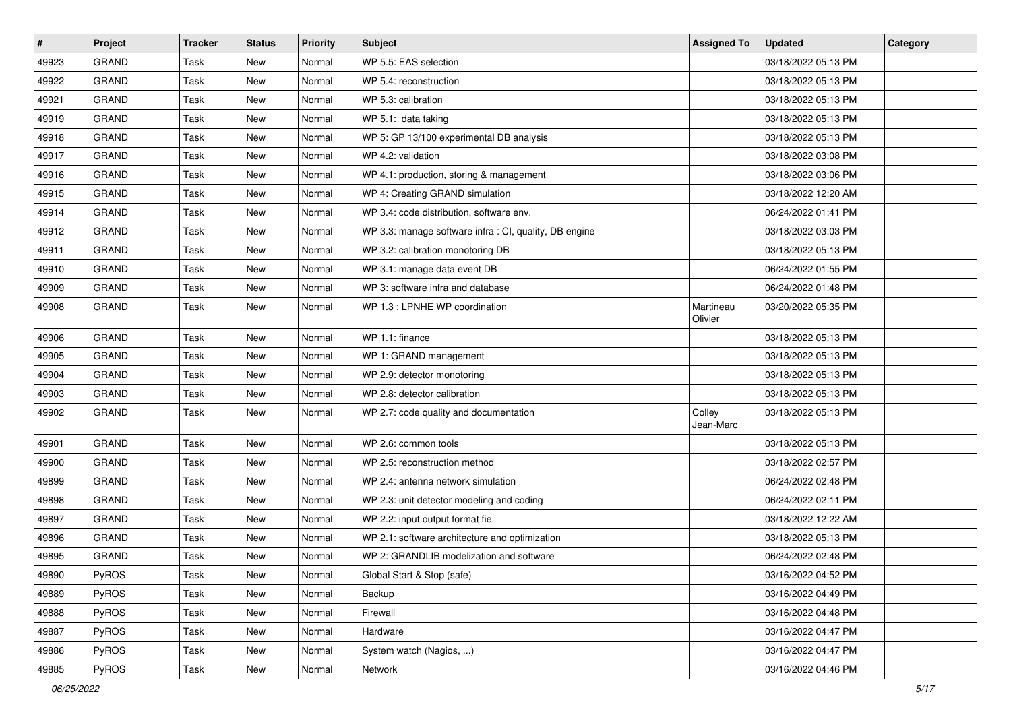| #     | Project      | <b>Tracker</b> | <b>Status</b> | <b>Priority</b> | <b>Subject</b>                                         | <b>Assigned To</b>   | <b>Updated</b>      | Category |
|-------|--------------|----------------|---------------|-----------------|--------------------------------------------------------|----------------------|---------------------|----------|
| 49923 | GRAND        | Task           | <b>New</b>    | Normal          | WP 5.5: EAS selection                                  |                      | 03/18/2022 05:13 PM |          |
| 49922 | GRAND        | Task           | <b>New</b>    | Normal          | WP 5.4: reconstruction                                 |                      | 03/18/2022 05:13 PM |          |
| 49921 | <b>GRAND</b> | Task           | New           | Normal          | WP 5.3: calibration                                    |                      | 03/18/2022 05:13 PM |          |
| 49919 | GRAND        | Task           | <b>New</b>    | Normal          | WP 5.1: data taking                                    |                      | 03/18/2022 05:13 PM |          |
| 49918 | GRAND        | Task           | <b>New</b>    | Normal          | WP 5: GP 13/100 experimental DB analysis               |                      | 03/18/2022 05:13 PM |          |
| 49917 | GRAND        | Task           | New           | Normal          | WP 4.2: validation                                     |                      | 03/18/2022 03:08 PM |          |
| 49916 | GRAND        | Task           | <b>New</b>    | Normal          | WP 4.1: production, storing & management               |                      | 03/18/2022 03:06 PM |          |
| 49915 | <b>GRAND</b> | Task           | New           | Normal          | WP 4: Creating GRAND simulation                        |                      | 03/18/2022 12:20 AM |          |
| 49914 | GRAND        | Task           | New           | Normal          | WP 3.4: code distribution, software env.               |                      | 06/24/2022 01:41 PM |          |
| 49912 | GRAND        | Task           | <b>New</b>    | Normal          | WP 3.3: manage software infra : CI, quality, DB engine |                      | 03/18/2022 03:03 PM |          |
| 49911 | GRAND        | Task           | New           | Normal          | WP 3.2: calibration monotoring DB                      |                      | 03/18/2022 05:13 PM |          |
| 49910 | GRAND        | Task           | <b>New</b>    | Normal          | WP 3.1: manage data event DB                           |                      | 06/24/2022 01:55 PM |          |
| 49909 | GRAND        | Task           | New           | Normal          | WP 3: software infra and database                      |                      | 06/24/2022 01:48 PM |          |
| 49908 | <b>GRAND</b> | Task           | New           | Normal          | WP 1.3 : LPNHE WP coordination                         | Martineau<br>Olivier | 03/20/2022 05:35 PM |          |
| 49906 | GRAND        | Task           | New           | Normal          | WP 1.1: finance                                        |                      | 03/18/2022 05:13 PM |          |
| 49905 | GRAND        | Task           | <b>New</b>    | Normal          | WP 1: GRAND management                                 |                      | 03/18/2022 05:13 PM |          |
| 49904 | GRAND        | Task           | <b>New</b>    | Normal          | WP 2.9: detector monotoring                            |                      | 03/18/2022 05:13 PM |          |
| 49903 | GRAND        | Task           | New           | Normal          | WP 2.8: detector calibration                           |                      | 03/18/2022 05:13 PM |          |
| 49902 | GRAND        | Task           | New           | Normal          | WP 2.7: code quality and documentation                 | Colley<br>Jean-Marc  | 03/18/2022 05:13 PM |          |
| 49901 | GRAND        | Task           | <b>New</b>    | Normal          | WP 2.6: common tools                                   |                      | 03/18/2022 05:13 PM |          |
| 49900 | GRAND        | Task           | <b>New</b>    | Normal          | WP 2.5: reconstruction method                          |                      | 03/18/2022 02:57 PM |          |
| 49899 | <b>GRAND</b> | Task           | New           | Normal          | WP 2.4: antenna network simulation                     |                      | 06/24/2022 02:48 PM |          |
| 49898 | GRAND        | Task           | <b>New</b>    | Normal          | WP 2.3: unit detector modeling and coding              |                      | 06/24/2022 02:11 PM |          |
| 49897 | GRAND        | Task           | <b>New</b>    | Normal          | WP 2.2: input output format fie                        |                      | 03/18/2022 12:22 AM |          |
| 49896 | GRAND        | Task           | <b>New</b>    | Normal          | WP 2.1: software architecture and optimization         |                      | 03/18/2022 05:13 PM |          |
| 49895 | GRAND        | Task           | <b>New</b>    | Normal          | WP 2: GRANDLIB modelization and software               |                      | 06/24/2022 02:48 PM |          |
| 49890 | PyROS        | Task           | New           | Normal          | Global Start & Stop (safe)                             |                      | 03/16/2022 04:52 PM |          |
| 49889 | PyROS        | Task           | New           | Normal          | Backup                                                 |                      | 03/16/2022 04:49 PM |          |
| 49888 | PyROS        | Task           | New           | Normal          | Firewall                                               |                      | 03/16/2022 04:48 PM |          |
| 49887 | PyROS        | Task           | New           | Normal          | Hardware                                               |                      | 03/16/2022 04:47 PM |          |
| 49886 | PyROS        | Task           | New           | Normal          | System watch (Nagios, )                                |                      | 03/16/2022 04:47 PM |          |
| 49885 | PyROS        | Task           | New           | Normal          | Network                                                |                      | 03/16/2022 04:46 PM |          |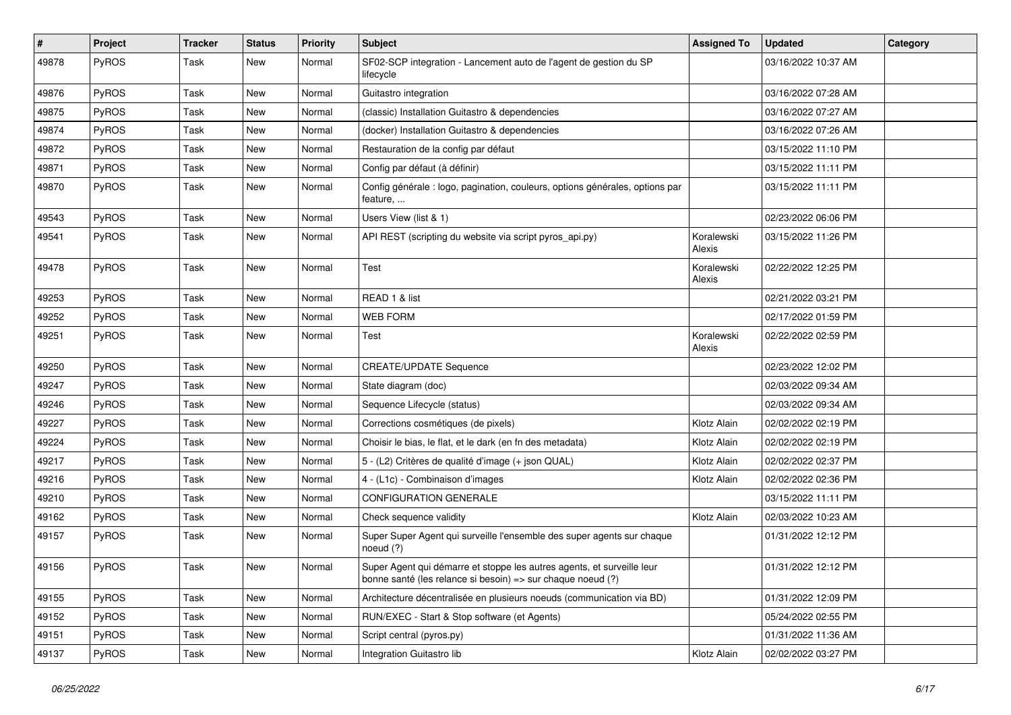| $\sharp$ | Project      | <b>Tracker</b> | <b>Status</b> | <b>Priority</b> | Subject                                                                                                                               | <b>Assigned To</b>   | <b>Updated</b>      | Category |
|----------|--------------|----------------|---------------|-----------------|---------------------------------------------------------------------------------------------------------------------------------------|----------------------|---------------------|----------|
| 49878    | PyROS        | Task           | New           | Normal          | SF02-SCP integration - Lancement auto de l'agent de gestion du SP<br>lifecycle                                                        |                      | 03/16/2022 10:37 AM |          |
| 49876    | PyROS        | Task           | New           | Normal          | Guitastro integration                                                                                                                 |                      | 03/16/2022 07:28 AM |          |
| 49875    | PyROS        | Task           | New           | Normal          | (classic) Installation Guitastro & dependencies                                                                                       |                      | 03/16/2022 07:27 AM |          |
| 49874    | PyROS        | Task           | New           | Normal          | (docker) Installation Guitastro & dependencies                                                                                        |                      | 03/16/2022 07:26 AM |          |
| 49872    | PyROS        | Task           | New           | Normal          | Restauration de la config par défaut                                                                                                  |                      | 03/15/2022 11:10 PM |          |
| 49871    | PyROS        | Task           | New           | Normal          | Config par défaut (à définir)                                                                                                         |                      | 03/15/2022 11:11 PM |          |
| 49870    | PyROS        | Task           | New           | Normal          | Config générale : logo, pagination, couleurs, options générales, options par<br>feature,                                              |                      | 03/15/2022 11:11 PM |          |
| 49543    | PyROS        | Task           | New           | Normal          | Users View (list & 1)                                                                                                                 |                      | 02/23/2022 06:06 PM |          |
| 49541    | PyROS        | Task           | New           | Normal          | API REST (scripting du website via script pyros_api.py)                                                                               | Koralewski<br>Alexis | 03/15/2022 11:26 PM |          |
| 49478    | PyROS        | Task           | New           | Normal          | Test                                                                                                                                  | Koralewski<br>Alexis | 02/22/2022 12:25 PM |          |
| 49253    | PyROS        | Task           | New           | Normal          | READ 1 & list                                                                                                                         |                      | 02/21/2022 03:21 PM |          |
| 49252    | PyROS        | Task           | New           | Normal          | <b>WEB FORM</b>                                                                                                                       |                      | 02/17/2022 01:59 PM |          |
| 49251    | PyROS        | Task           | New           | Normal          | Test                                                                                                                                  | Koralewski<br>Alexis | 02/22/2022 02:59 PM |          |
| 49250    | PyROS        | Task           | New           | Normal          | <b>CREATE/UPDATE Sequence</b>                                                                                                         |                      | 02/23/2022 12:02 PM |          |
| 49247    | PyROS        | Task           | New           | Normal          | State diagram (doc)                                                                                                                   |                      | 02/03/2022 09:34 AM |          |
| 49246    | PyROS        | Task           | New           | Normal          | Sequence Lifecycle (status)                                                                                                           |                      | 02/03/2022 09:34 AM |          |
| 49227    | <b>PyROS</b> | Task           | New           | Normal          | Corrections cosmétiques (de pixels)                                                                                                   | Klotz Alain          | 02/02/2022 02:19 PM |          |
| 49224    | PyROS        | Task           | New           | Normal          | Choisir le bias, le flat, et le dark (en fn des metadata)                                                                             | Klotz Alain          | 02/02/2022 02:19 PM |          |
| 49217    | PyROS        | Task           | New           | Normal          | 5 - (L2) Critères de qualité d'image (+ json QUAL)                                                                                    | Klotz Alain          | 02/02/2022 02:37 PM |          |
| 49216    | PyROS        | Task           | New           | Normal          | 4 - (L1c) - Combinaison d'images                                                                                                      | Klotz Alain          | 02/02/2022 02:36 PM |          |
| 49210    | PyROS        | Task           | New           | Normal          | <b>CONFIGURATION GENERALE</b>                                                                                                         |                      | 03/15/2022 11:11 PM |          |
| 49162    | <b>PyROS</b> | Task           | New           | Normal          | Check sequence validity                                                                                                               | Klotz Alain          | 02/03/2022 10:23 AM |          |
| 49157    | PyROS        | Task           | New           | Normal          | Super Super Agent qui surveille l'ensemble des super agents sur chaque<br>noeud (?)                                                   |                      | 01/31/2022 12:12 PM |          |
| 49156    | PyROS        | Task           | New           | Normal          | Super Agent qui démarre et stoppe les autres agents, et surveille leur<br>bonne santé (les relance si besoin) => sur chaque noeud (?) |                      | 01/31/2022 12:12 PM |          |
| 49155    | PyROS        | Task           | New           | Normal          | Architecture décentralisée en plusieurs noeuds (communication via BD)                                                                 |                      | 01/31/2022 12:09 PM |          |
| 49152    | PyROS        | Task           | New           | Normal          | RUN/EXEC - Start & Stop software (et Agents)                                                                                          |                      | 05/24/2022 02:55 PM |          |
| 49151    | PyROS        | Task           | New           | Normal          | Script central (pyros.py)                                                                                                             |                      | 01/31/2022 11:36 AM |          |
| 49137    | PyROS        | Task           | New           | Normal          | Integration Guitastro lib                                                                                                             | Klotz Alain          | 02/02/2022 03:27 PM |          |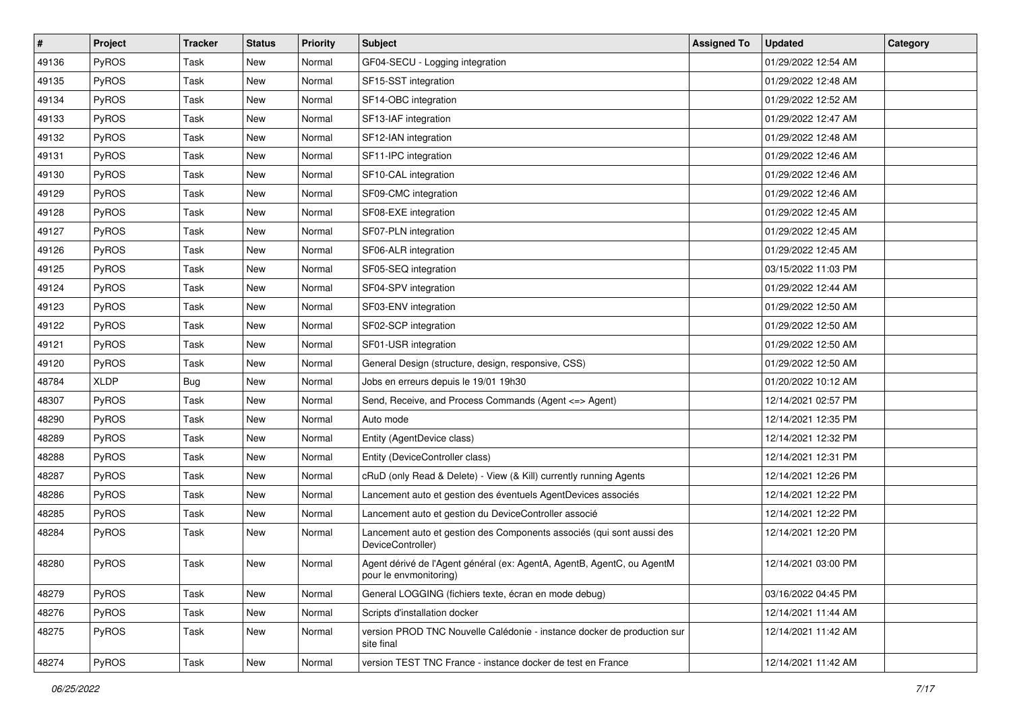| $\pmb{\#}$ | Project      | <b>Tracker</b> | <b>Status</b> | <b>Priority</b> | Subject                                                                                          | <b>Assigned To</b> | <b>Updated</b>      | Category |
|------------|--------------|----------------|---------------|-----------------|--------------------------------------------------------------------------------------------------|--------------------|---------------------|----------|
| 49136      | PyROS        | Task           | New           | Normal          | GF04-SECU - Logging integration                                                                  |                    | 01/29/2022 12:54 AM |          |
| 49135      | PyROS        | Task           | <b>New</b>    | Normal          | SF15-SST integration                                                                             |                    | 01/29/2022 12:48 AM |          |
| 49134      | PyROS        | Task           | New           | Normal          | SF14-OBC integration                                                                             |                    | 01/29/2022 12:52 AM |          |
| 49133      | PyROS        | Task           | New           | Normal          | SF13-IAF integration                                                                             |                    | 01/29/2022 12:47 AM |          |
| 49132      | PyROS        | Task           | New           | Normal          | SF12-IAN integration                                                                             |                    | 01/29/2022 12:48 AM |          |
| 49131      | PyROS        | Task           | New           | Normal          | SF11-IPC integration                                                                             |                    | 01/29/2022 12:46 AM |          |
| 49130      | PyROS        | Task           | New           | Normal          | SF10-CAL integration                                                                             |                    | 01/29/2022 12:46 AM |          |
| 49129      | <b>PyROS</b> | Task           | New           | Normal          | SF09-CMC integration                                                                             |                    | 01/29/2022 12:46 AM |          |
| 49128      | PyROS        | Task           | New           | Normal          | SF08-EXE integration                                                                             |                    | 01/29/2022 12:45 AM |          |
| 49127      | PyROS        | Task           | New           | Normal          | SF07-PLN integration                                                                             |                    | 01/29/2022 12:45 AM |          |
| 49126      | PyROS        | Task           | New           | Normal          | SF06-ALR integration                                                                             |                    | 01/29/2022 12:45 AM |          |
| 49125      | PyROS        | Task           | New           | Normal          | SF05-SEQ integration                                                                             |                    | 03/15/2022 11:03 PM |          |
| 49124      | PyROS        | Task           | New           | Normal          | SF04-SPV integration                                                                             |                    | 01/29/2022 12:44 AM |          |
| 49123      | PyROS        | Task           | New           | Normal          | SF03-ENV integration                                                                             |                    | 01/29/2022 12:50 AM |          |
| 49122      | PyROS        | Task           | <b>New</b>    | Normal          | SF02-SCP integration                                                                             |                    | 01/29/2022 12:50 AM |          |
| 49121      | PyROS        | Task           | New           | Normal          | SF01-USR integration                                                                             |                    | 01/29/2022 12:50 AM |          |
| 49120      | PyROS        | Task           | New           | Normal          | General Design (structure, design, responsive, CSS)                                              |                    | 01/29/2022 12:50 AM |          |
| 48784      | <b>XLDP</b>  | Bug            | New           | Normal          | Jobs en erreurs depuis le 19/01 19h30                                                            |                    | 01/20/2022 10:12 AM |          |
| 48307      | PyROS        | Task           | New           | Normal          | Send, Receive, and Process Commands (Agent <=> Agent)                                            |                    | 12/14/2021 02:57 PM |          |
| 48290      | PyROS        | Task           | <b>New</b>    | Normal          | Auto mode                                                                                        |                    | 12/14/2021 12:35 PM |          |
| 48289      | PyROS        | Task           | New           | Normal          | Entity (AgentDevice class)                                                                       |                    | 12/14/2021 12:32 PM |          |
| 48288      | PyROS        | Task           | New           | Normal          | Entity (DeviceController class)                                                                  |                    | 12/14/2021 12:31 PM |          |
| 48287      | PyROS        | Task           | New           | Normal          | cRuD (only Read & Delete) - View (& Kill) currently running Agents                               |                    | 12/14/2021 12:26 PM |          |
| 48286      | PyROS        | Task           | New           | Normal          | Lancement auto et gestion des éventuels AgentDevices associés                                    |                    | 12/14/2021 12:22 PM |          |
| 48285      | PyROS        | Task           | <b>New</b>    | Normal          | Lancement auto et gestion du DeviceController associé                                            |                    | 12/14/2021 12:22 PM |          |
| 48284      | PyROS        | Task           | New           | Normal          | Lancement auto et gestion des Components associés (qui sont aussi des<br>DeviceController)       |                    | 12/14/2021 12:20 PM |          |
| 48280      | PyROS        | Task           | New           | Normal          | Agent dérivé de l'Agent général (ex: AgentA, AgentB, AgentC, ou AgentM<br>pour le envmonitoring) |                    | 12/14/2021 03:00 PM |          |
| 48279      | PyROS        | Task           | New           | Normal          | General LOGGING (fichiers texte, écran en mode debug)                                            |                    | 03/16/2022 04:45 PM |          |
| 48276      | PyROS        | Task           | New           | Normal          | Scripts d'installation docker                                                                    |                    | 12/14/2021 11:44 AM |          |
| 48275      | PyROS        | Task           | New           | Normal          | version PROD TNC Nouvelle Calédonie - instance docker de production sur<br>site final            |                    | 12/14/2021 11:42 AM |          |
| 48274      | PyROS        | Task           | New           | Normal          | version TEST TNC France - instance docker de test en France                                      |                    | 12/14/2021 11:42 AM |          |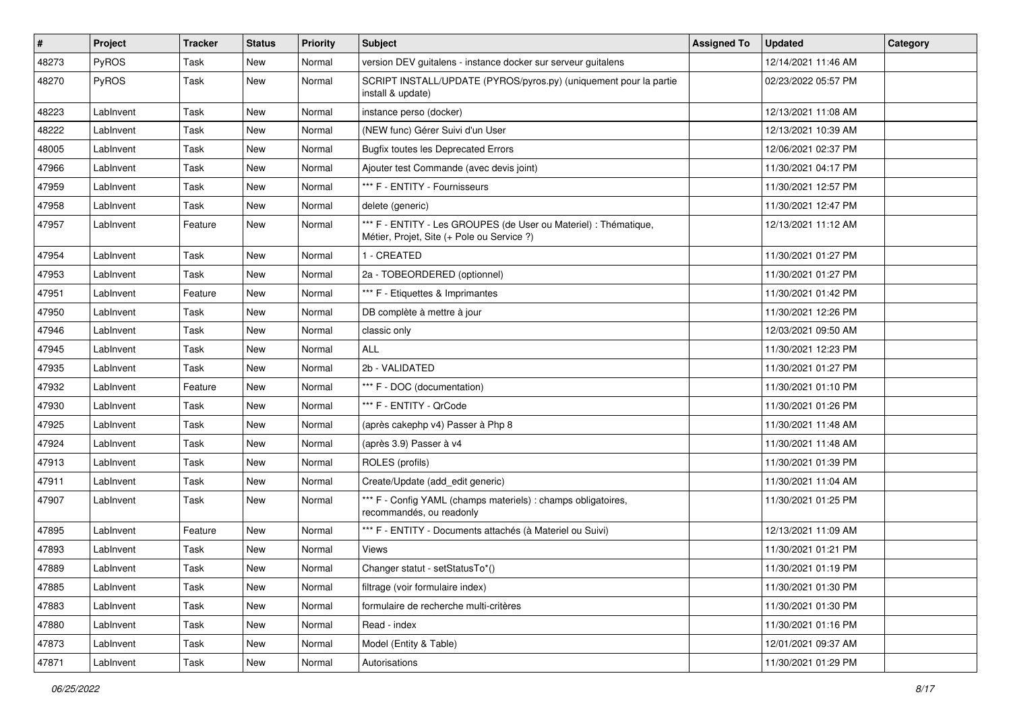| $\vert$ # | Project   | <b>Tracker</b> | <b>Status</b> | <b>Priority</b> | <b>Subject</b>                                                                                                 | <b>Assigned To</b> | <b>Updated</b>      | Category |
|-----------|-----------|----------------|---------------|-----------------|----------------------------------------------------------------------------------------------------------------|--------------------|---------------------|----------|
| 48273     | PyROS     | Task           | New           | Normal          | version DEV guitalens - instance docker sur serveur guitalens                                                  |                    | 12/14/2021 11:46 AM |          |
| 48270     | PyROS     | Task           | New           | Normal          | SCRIPT INSTALL/UPDATE (PYROS/pyros.py) (uniquement pour la partie<br>install & update)                         |                    | 02/23/2022 05:57 PM |          |
| 48223     | LabInvent | Task           | New           | Normal          | instance perso (docker)                                                                                        |                    | 12/13/2021 11:08 AM |          |
| 48222     | LabInvent | Task           | <b>New</b>    | Normal          | (NEW func) Gérer Suivi d'un User                                                                               |                    | 12/13/2021 10:39 AM |          |
| 48005     | LabInvent | Task           | New           | Normal          | <b>Bugfix toutes les Deprecated Errors</b>                                                                     |                    | 12/06/2021 02:37 PM |          |
| 47966     | LabInvent | Task           | <b>New</b>    | Normal          | Ajouter test Commande (avec devis joint)                                                                       |                    | 11/30/2021 04:17 PM |          |
| 47959     | LabInvent | Task           | New           | Normal          | *** F - ENTITY - Fournisseurs                                                                                  |                    | 11/30/2021 12:57 PM |          |
| 47958     | LabInvent | Task           | New           | Normal          | delete (generic)                                                                                               |                    | 11/30/2021 12:47 PM |          |
| 47957     | LabInvent | Feature        | <b>New</b>    | Normal          | *** F - ENTITY - Les GROUPES (de User ou Materiel) : Thématique,<br>Métier, Projet, Site (+ Pole ou Service ?) |                    | 12/13/2021 11:12 AM |          |
| 47954     | LabInvent | Task           | New           | Normal          | 1 - CREATED                                                                                                    |                    | 11/30/2021 01:27 PM |          |
| 47953     | LabInvent | Task           | <b>New</b>    | Normal          | 2a - TOBEORDERED (optionnel)                                                                                   |                    | 11/30/2021 01:27 PM |          |
| 47951     | LabInvent | Feature        | New           | Normal          | *** F - Etiquettes & Imprimantes                                                                               |                    | 11/30/2021 01:42 PM |          |
| 47950     | LabInvent | Task           | <b>New</b>    | Normal          | DB complète à mettre à jour                                                                                    |                    | 11/30/2021 12:26 PM |          |
| 47946     | LabInvent | Task           | New           | Normal          | classic only                                                                                                   |                    | 12/03/2021 09:50 AM |          |
| 47945     | LabInvent | Task           | New           | Normal          | <b>ALL</b>                                                                                                     |                    | 11/30/2021 12:23 PM |          |
| 47935     | LabInvent | <b>Task</b>    | New           | Normal          | 2b - VALIDATED                                                                                                 |                    | 11/30/2021 01:27 PM |          |
| 47932     | LabInvent | Feature        | New           | Normal          | *** F - DOC (documentation)                                                                                    |                    | 11/30/2021 01:10 PM |          |
| 47930     | LabInvent | Task           | <b>New</b>    | Normal          | *** F - ENTITY - QrCode                                                                                        |                    | 11/30/2021 01:26 PM |          |
| 47925     | LabInvent | Task           | New           | Normal          | (après cakephp v4) Passer à Php 8                                                                              |                    | 11/30/2021 11:48 AM |          |
| 47924     | LabInvent | Task           | <b>New</b>    | Normal          | (après 3.9) Passer à v4                                                                                        |                    | 11/30/2021 11:48 AM |          |
| 47913     | LabInvent | Task           | <b>New</b>    | Normal          | ROLES (profils)                                                                                                |                    | 11/30/2021 01:39 PM |          |
| 47911     | LabInvent | Task           | New           | Normal          | Create/Update (add_edit generic)                                                                               |                    | 11/30/2021 11:04 AM |          |
| 47907     | LabInvent | Task           | New           | Normal          | *** F - Config YAML (champs materiels) : champs obligatoires,<br>recommandés, ou readonly                      |                    | 11/30/2021 01:25 PM |          |
| 47895     | LabInvent | Feature        | <b>New</b>    | Normal          | *** F - ENTITY - Documents attachés (à Materiel ou Suivi)                                                      |                    | 12/13/2021 11:09 AM |          |
| 47893     | LabInvent | Task           | <b>New</b>    | Normal          | Views                                                                                                          |                    | 11/30/2021 01:21 PM |          |
| 47889     | LabInvent | Task           | New           | Normal          | Changer statut - setStatusTo*()                                                                                |                    | 11/30/2021 01:19 PM |          |
| 47885     | LabInvent | Task           | New           | Normal          | filtrage (voir formulaire index)                                                                               |                    | 11/30/2021 01:30 PM |          |
| 47883     | LabInvent | Task           | New           | Normal          | formulaire de recherche multi-critères                                                                         |                    | 11/30/2021 01:30 PM |          |
| 47880     | LabInvent | Task           | New           | Normal          | Read - index                                                                                                   |                    | 11/30/2021 01:16 PM |          |
| 47873     | LabInvent | Task           | New           | Normal          | Model (Entity & Table)                                                                                         |                    | 12/01/2021 09:37 AM |          |
| 47871     | LabInvent | Task           | New           | Normal          | Autorisations                                                                                                  |                    | 11/30/2021 01:29 PM |          |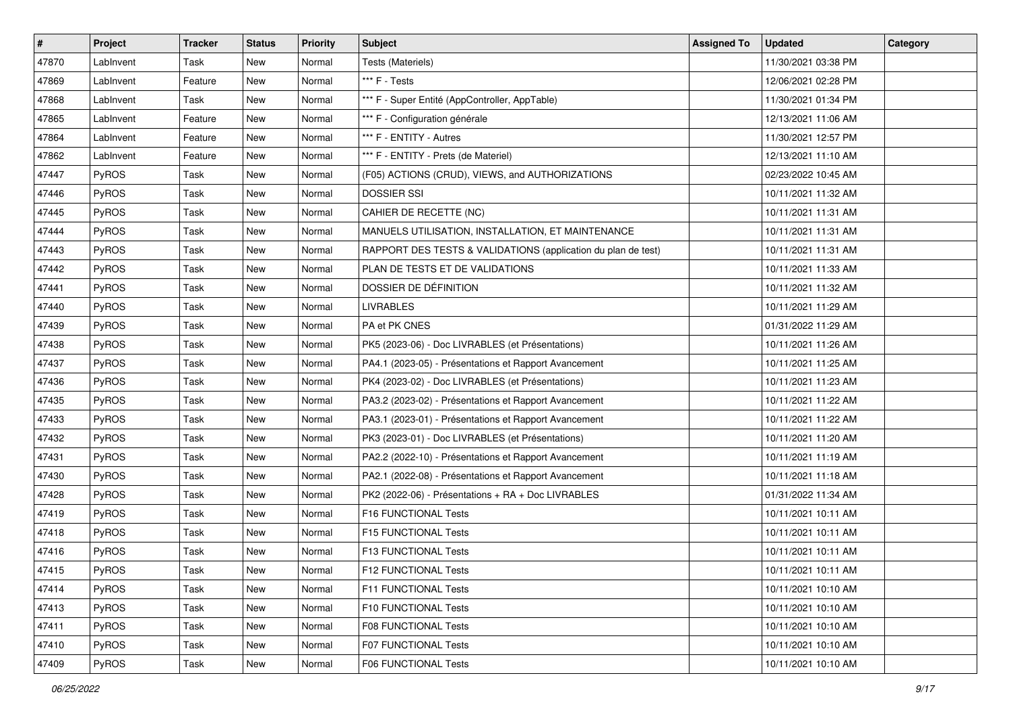| $\vert$ # | <b>Project</b> | <b>Tracker</b> | <b>Status</b> | <b>Priority</b> | <b>Subject</b>                                                | <b>Assigned To</b> | <b>Updated</b>      | Category |
|-----------|----------------|----------------|---------------|-----------------|---------------------------------------------------------------|--------------------|---------------------|----------|
| 47870     | LabInvent      | Task           | <b>New</b>    | Normal          | Tests (Materiels)                                             |                    | 11/30/2021 03:38 PM |          |
| 47869     | LabInvent      | Feature        | <b>New</b>    | Normal          | *** F - Tests                                                 |                    | 12/06/2021 02:28 PM |          |
| 47868     | LabInvent      | Task           | New           | Normal          | *** F - Super Entité (AppController, AppTable)                |                    | 11/30/2021 01:34 PM |          |
| 47865     | LabInvent      | Feature        | New           | Normal          | *** F - Configuration générale                                |                    | 12/13/2021 11:06 AM |          |
| 47864     | LabInvent      | Feature        | New           | Normal          | *** F - ENTITY - Autres                                       |                    | 11/30/2021 12:57 PM |          |
| 47862     | LabInvent      | Feature        | New           | Normal          | *** F - ENTITY - Prets (de Materiel)                          |                    | 12/13/2021 11:10 AM |          |
| 47447     | PyROS          | Task           | New           | Normal          | (F05) ACTIONS (CRUD), VIEWS, and AUTHORIZATIONS               |                    | 02/23/2022 10:45 AM |          |
| 47446     | <b>PyROS</b>   | Task           | New           | Normal          | <b>DOSSIER SSI</b>                                            |                    | 10/11/2021 11:32 AM |          |
| 47445     | PyROS          | Task           | New           | Normal          | CAHIER DE RECETTE (NC)                                        |                    | 10/11/2021 11:31 AM |          |
| 47444     | PyROS          | Task           | New           | Normal          | MANUELS UTILISATION, INSTALLATION, ET MAINTENANCE             |                    | 10/11/2021 11:31 AM |          |
| 47443     | PyROS          | Task           | New           | Normal          | RAPPORT DES TESTS & VALIDATIONS (application du plan de test) |                    | 10/11/2021 11:31 AM |          |
| 47442     | PyROS          | Task           | New           | Normal          | PLAN DE TESTS ET DE VALIDATIONS                               |                    | 10/11/2021 11:33 AM |          |
| 47441     | PyROS          | Task           | New           | Normal          | DOSSIER DE DÉFINITION                                         |                    | 10/11/2021 11:32 AM |          |
| 47440     | PyROS          | Task           | New           | Normal          | <b>LIVRABLES</b>                                              |                    | 10/11/2021 11:29 AM |          |
| 47439     | PyROS          | Task           | <b>New</b>    | Normal          | PA et PK CNES                                                 |                    | 01/31/2022 11:29 AM |          |
| 47438     | <b>PyROS</b>   | Task           | New           | Normal          | PK5 (2023-06) - Doc LIVRABLES (et Présentations)              |                    | 10/11/2021 11:26 AM |          |
| 47437     | PyROS          | Task           | New           | Normal          | PA4.1 (2023-05) - Présentations et Rapport Avancement         |                    | 10/11/2021 11:25 AM |          |
| 47436     | PyROS          | Task           | New           | Normal          | PK4 (2023-02) - Doc LIVRABLES (et Présentations)              |                    | 10/11/2021 11:23 AM |          |
| 47435     | PyROS          | Task           | New           | Normal          | PA3.2 (2023-02) - Présentations et Rapport Avancement         |                    | 10/11/2021 11:22 AM |          |
| 47433     | PyROS          | Task           | New           | Normal          | PA3.1 (2023-01) - Présentations et Rapport Avancement         |                    | 10/11/2021 11:22 AM |          |
| 47432     | PyROS          | Task           | New           | Normal          | PK3 (2023-01) - Doc LIVRABLES (et Présentations)              |                    | 10/11/2021 11:20 AM |          |
| 47431     | PyROS          | Task           | New           | Normal          | PA2.2 (2022-10) - Présentations et Rapport Avancement         |                    | 10/11/2021 11:19 AM |          |
| 47430     | PyROS          | Task           | New           | Normal          | PA2.1 (2022-08) - Présentations et Rapport Avancement         |                    | 10/11/2021 11:18 AM |          |
| 47428     | PyROS          | Task           | New           | Normal          | PK2 (2022-06) - Présentations + RA + Doc LIVRABLES            |                    | 01/31/2022 11:34 AM |          |
| 47419     | PyROS          | Task           | New           | Normal          | F16 FUNCTIONAL Tests                                          |                    | 10/11/2021 10:11 AM |          |
| 47418     | PyROS          | Task           | New           | Normal          | F15 FUNCTIONAL Tests                                          |                    | 10/11/2021 10:11 AM |          |
| 47416     | PyROS          | Task           | New           | Normal          | F13 FUNCTIONAL Tests                                          |                    | 10/11/2021 10:11 AM |          |
| 47415     | PyROS          | Task           | New           | Normal          | F12 FUNCTIONAL Tests                                          |                    | 10/11/2021 10:11 AM |          |
| 47414     | <b>PyROS</b>   | Task           | New           | Normal          | F11 FUNCTIONAL Tests                                          |                    | 10/11/2021 10:10 AM |          |
| 47413     | PyROS          | Task           | New           | Normal          | F10 FUNCTIONAL Tests                                          |                    | 10/11/2021 10:10 AM |          |
| 47411     | <b>PyROS</b>   | Task           | New           | Normal          | <b>F08 FUNCTIONAL Tests</b>                                   |                    | 10/11/2021 10:10 AM |          |
| 47410     | PyROS          | Task           | New           | Normal          | F07 FUNCTIONAL Tests                                          |                    | 10/11/2021 10:10 AM |          |
| 47409     | PyROS          | Task           | New           | Normal          | F06 FUNCTIONAL Tests                                          |                    | 10/11/2021 10:10 AM |          |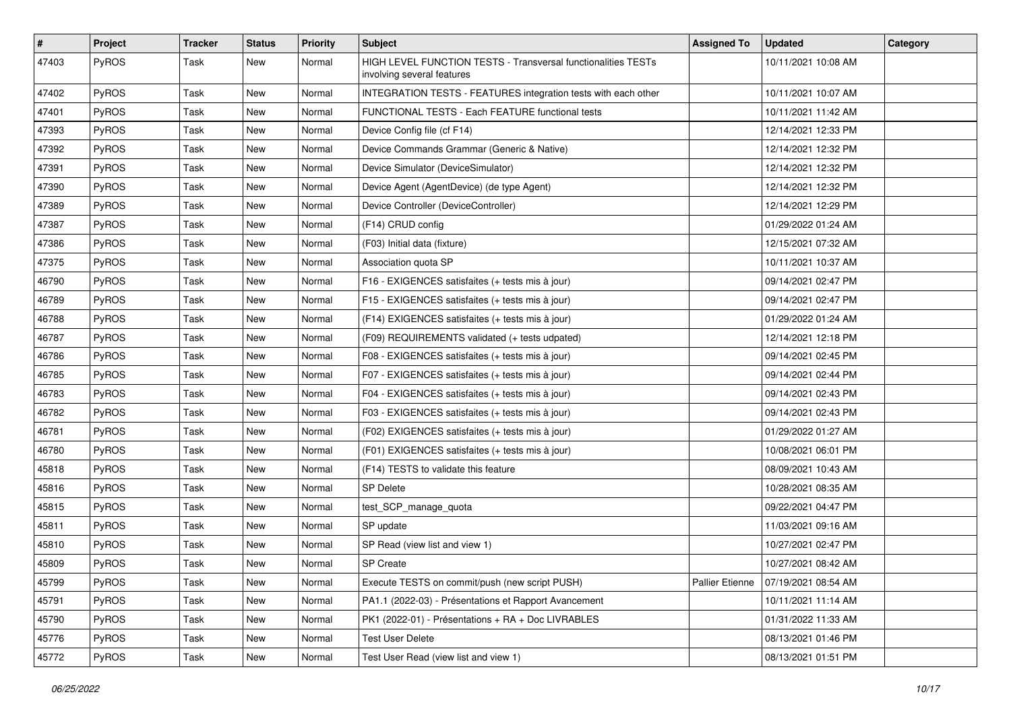| #     | Project | <b>Tracker</b> | <b>Status</b> | <b>Priority</b> | <b>Subject</b>                                                                              | <b>Assigned To</b> | <b>Updated</b>      | Category |
|-------|---------|----------------|---------------|-----------------|---------------------------------------------------------------------------------------------|--------------------|---------------------|----------|
| 47403 | PyROS   | Task           | New           | Normal          | HIGH LEVEL FUNCTION TESTS - Transversal functionalities TESTs<br>involving several features |                    | 10/11/2021 10:08 AM |          |
| 47402 | PyROS   | Task           | New           | Normal          | INTEGRATION TESTS - FEATURES integration tests with each other                              |                    | 10/11/2021 10:07 AM |          |
| 47401 | PyROS   | Task           | New           | Normal          | FUNCTIONAL TESTS - Each FEATURE functional tests                                            |                    | 10/11/2021 11:42 AM |          |
| 47393 | PyROS   | Task           | New           | Normal          | Device Config file (cf F14)                                                                 |                    | 12/14/2021 12:33 PM |          |
| 47392 | PyROS   | Task           | New           | Normal          | Device Commands Grammar (Generic & Native)                                                  |                    | 12/14/2021 12:32 PM |          |
| 47391 | PyROS   | Task           | New           | Normal          | Device Simulator (DeviceSimulator)                                                          |                    | 12/14/2021 12:32 PM |          |
| 47390 | PyROS   | Task           | New           | Normal          | Device Agent (AgentDevice) (de type Agent)                                                  |                    | 12/14/2021 12:32 PM |          |
| 47389 | PyROS   | Task           | New           | Normal          | Device Controller (DeviceController)                                                        |                    | 12/14/2021 12:29 PM |          |
| 47387 | PyROS   | Task           | New           | Normal          | (F14) CRUD config                                                                           |                    | 01/29/2022 01:24 AM |          |
| 47386 | PyROS   | Task           | New           | Normal          | (F03) Initial data (fixture)                                                                |                    | 12/15/2021 07:32 AM |          |
| 47375 | PyROS   | Task           | New           | Normal          | Association quota SP                                                                        |                    | 10/11/2021 10:37 AM |          |
| 46790 | PyROS   | Task           | New           | Normal          | F16 - EXIGENCES satisfaites (+ tests mis à jour)                                            |                    | 09/14/2021 02:47 PM |          |
| 46789 | PyROS   | Task           | New           | Normal          | F15 - EXIGENCES satisfaites (+ tests mis à jour)                                            |                    | 09/14/2021 02:47 PM |          |
| 46788 | PyROS   | Task           | New           | Normal          | (F14) EXIGENCES satisfaites (+ tests mis à jour)                                            |                    | 01/29/2022 01:24 AM |          |
| 46787 | PyROS   | Task           | New           | Normal          | (F09) REQUIREMENTS validated (+ tests udpated)                                              |                    | 12/14/2021 12:18 PM |          |
| 46786 | PyROS   | Task           | New           | Normal          | F08 - EXIGENCES satisfaites (+ tests mis à jour)                                            |                    | 09/14/2021 02:45 PM |          |
| 46785 | PyROS   | Task           | New           | Normal          | F07 - EXIGENCES satisfaites (+ tests mis à jour)                                            |                    | 09/14/2021 02:44 PM |          |
| 46783 | PyROS   | Task           | New           | Normal          | F04 - EXIGENCES satisfaites (+ tests mis à jour)                                            |                    | 09/14/2021 02:43 PM |          |
| 46782 | PyROS   | Task           | New           | Normal          | F03 - EXIGENCES satisfaites (+ tests mis à jour)                                            |                    | 09/14/2021 02:43 PM |          |
| 46781 | PyROS   | Task           | New           | Normal          | (F02) EXIGENCES satisfaites (+ tests mis à jour)                                            |                    | 01/29/2022 01:27 AM |          |
| 46780 | PyROS   | Task           | New           | Normal          | (F01) EXIGENCES satisfaites (+ tests mis à jour)                                            |                    | 10/08/2021 06:01 PM |          |
| 45818 | PyROS   | Task           | New           | Normal          | (F14) TESTS to validate this feature                                                        |                    | 08/09/2021 10:43 AM |          |
| 45816 | PyROS   | Task           | New           | Normal          | <b>SP Delete</b>                                                                            |                    | 10/28/2021 08:35 AM |          |
| 45815 | PyROS   | Task           | New           | Normal          | test_SCP_manage_quota                                                                       |                    | 09/22/2021 04:47 PM |          |
| 45811 | PyROS   | Task           | New           | Normal          | SP update                                                                                   |                    | 11/03/2021 09:16 AM |          |
| 45810 | PyROS   | Task           | New           | Normal          | SP Read (view list and view 1)                                                              |                    | 10/27/2021 02:47 PM |          |
| 45809 | PyROS   | Task           | New           | Normal          | SP Create                                                                                   |                    | 10/27/2021 08:42 AM |          |
| 45799 | PyROS   | Task           | New           | Normal          | Execute TESTS on commit/push (new script PUSH)                                              | Pallier Etienne    | 07/19/2021 08:54 AM |          |
| 45791 | PyROS   | Task           | New           | Normal          | PA1.1 (2022-03) - Présentations et Rapport Avancement                                       |                    | 10/11/2021 11:14 AM |          |
| 45790 | PyROS   | Task           | New           | Normal          | PK1 (2022-01) - Présentations + RA + Doc LIVRABLES                                          |                    | 01/31/2022 11:33 AM |          |
| 45776 | PyROS   | Task           | New           | Normal          | <b>Test User Delete</b>                                                                     |                    | 08/13/2021 01:46 PM |          |
| 45772 | PyROS   | Task           | New           | Normal          | Test User Read (view list and view 1)                                                       |                    | 08/13/2021 01:51 PM |          |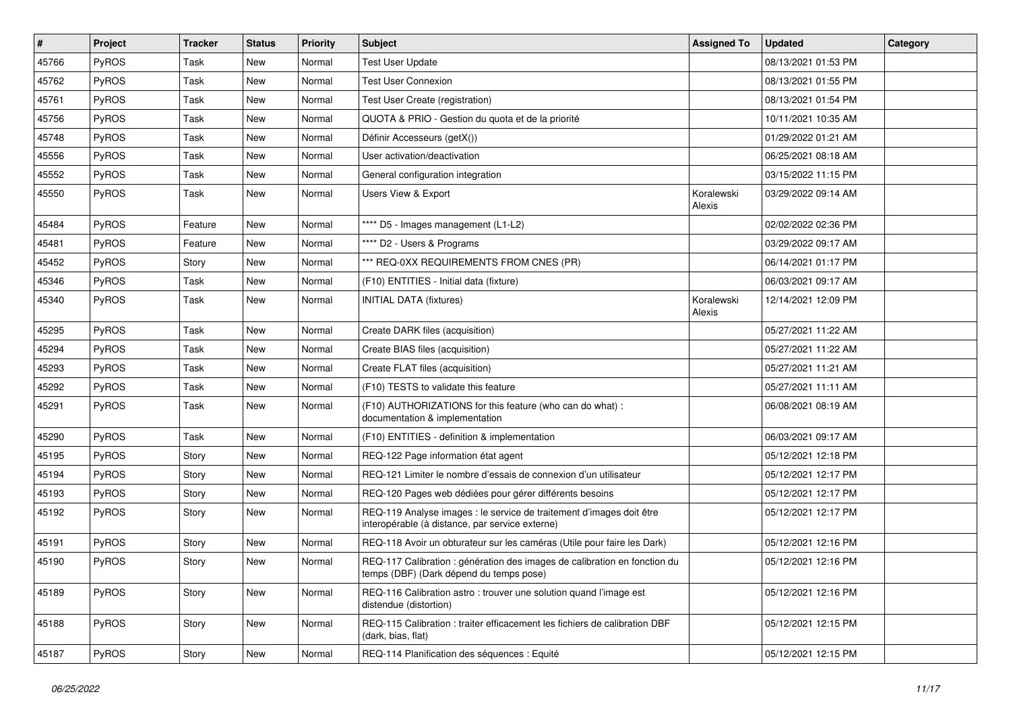| #     | Project      | <b>Tracker</b> | <b>Status</b> | <b>Priority</b> | Subject                                                                                                                 | <b>Assigned To</b>   | <b>Updated</b>      | Category |
|-------|--------------|----------------|---------------|-----------------|-------------------------------------------------------------------------------------------------------------------------|----------------------|---------------------|----------|
| 45766 | PyROS        | Task           | New           | Normal          | <b>Test User Update</b>                                                                                                 |                      | 08/13/2021 01:53 PM |          |
| 45762 | PyROS        | Task           | <b>New</b>    | Normal          | <b>Test User Connexion</b>                                                                                              |                      | 08/13/2021 01:55 PM |          |
| 45761 | PyROS        | Task           | New           | Normal          | Test User Create (registration)                                                                                         |                      | 08/13/2021 01:54 PM |          |
| 45756 | PyROS        | Task           | New           | Normal          | QUOTA & PRIO - Gestion du quota et de la priorité                                                                       |                      | 10/11/2021 10:35 AM |          |
| 45748 | PyROS        | Task           | New           | Normal          | Définir Accesseurs (getX())                                                                                             |                      | 01/29/2022 01:21 AM |          |
| 45556 | PyROS        | Task           | New           | Normal          | User activation/deactivation                                                                                            |                      | 06/25/2021 08:18 AM |          |
| 45552 | PyROS        | Task           | New           | Normal          | General configuration integration                                                                                       |                      | 03/15/2022 11:15 PM |          |
| 45550 | PyROS        | Task           | New           | Normal          | Users View & Export                                                                                                     | Koralewski<br>Alexis | 03/29/2022 09:14 AM |          |
| 45484 | PyROS        | Feature        | New           | Normal          | **** D5 - Images management (L1-L2)                                                                                     |                      | 02/02/2022 02:36 PM |          |
| 45481 | PyROS        | Feature        | New           | Normal          | **** D2 - Users & Programs                                                                                              |                      | 03/29/2022 09:17 AM |          |
| 45452 | PyROS        | Story          | New           | Normal          | *** REQ-0XX REQUIREMENTS FROM CNES (PR)                                                                                 |                      | 06/14/2021 01:17 PM |          |
| 45346 | PyROS        | Task           | New           | Normal          | (F10) ENTITIES - Initial data (fixture)                                                                                 |                      | 06/03/2021 09:17 AM |          |
| 45340 | PyROS        | Task           | New           | Normal          | <b>INITIAL DATA (fixtures)</b>                                                                                          | Koralewski<br>Alexis | 12/14/2021 12:09 PM |          |
| 45295 | PyROS        | Task           | New           | Normal          | Create DARK files (acquisition)                                                                                         |                      | 05/27/2021 11:22 AM |          |
| 45294 | PyROS        | Task           | New           | Normal          | Create BIAS files (acquisition)                                                                                         |                      | 05/27/2021 11:22 AM |          |
| 45293 | PyROS        | Task           | New           | Normal          | Create FLAT files (acquisition)                                                                                         |                      | 05/27/2021 11:21 AM |          |
| 45292 | PyROS        | Task           | New           | Normal          | (F10) TESTS to validate this feature                                                                                    |                      | 05/27/2021 11:11 AM |          |
| 45291 | PyROS        | Task           | New           | Normal          | (F10) AUTHORIZATIONS for this feature (who can do what) :<br>documentation & implementation                             |                      | 06/08/2021 08:19 AM |          |
| 45290 | PyROS        | Task           | New           | Normal          | (F10) ENTITIES - definition & implementation                                                                            |                      | 06/03/2021 09:17 AM |          |
| 45195 | PyROS        | Story          | New           | Normal          | REQ-122 Page information état agent                                                                                     |                      | 05/12/2021 12:18 PM |          |
| 45194 | <b>PyROS</b> | Story          | New           | Normal          | REQ-121 Limiter le nombre d'essais de connexion d'un utilisateur                                                        |                      | 05/12/2021 12:17 PM |          |
| 45193 | PyROS        | Story          | New           | Normal          | REQ-120 Pages web dédiées pour gérer différents besoins                                                                 |                      | 05/12/2021 12:17 PM |          |
| 45192 | <b>PyROS</b> | Story          | New           | Normal          | REQ-119 Analyse images : le service de traitement d'images doit être<br>interopérable (à distance, par service externe) |                      | 05/12/2021 12:17 PM |          |
| 45191 | PyROS        | Story          | New           | Normal          | REQ-118 Avoir un obturateur sur les caméras (Utile pour faire les Dark)                                                 |                      | 05/12/2021 12:16 PM |          |
| 45190 | PyROS        | Story          | New           | Normal          | REQ-117 Calibration : génération des images de calibration en fonction du<br>temps (DBF) (Dark depend du temps pose)    |                      | 05/12/2021 12:16 PM |          |
| 45189 | PyROS        | Story          | New           | Normal          | REQ-116 Calibration astro: trouver une solution quand l'image est<br>distendue (distortion)                             |                      | 05/12/2021 12:16 PM |          |
| 45188 | PyROS        | Story          | New           | Normal          | REQ-115 Calibration : traiter efficacement les fichiers de calibration DBF<br>(dark, bias, flat)                        |                      | 05/12/2021 12:15 PM |          |
| 45187 | PyROS        | Story          | New           | Normal          | REQ-114 Planification des séquences : Equité                                                                            |                      | 05/12/2021 12:15 PM |          |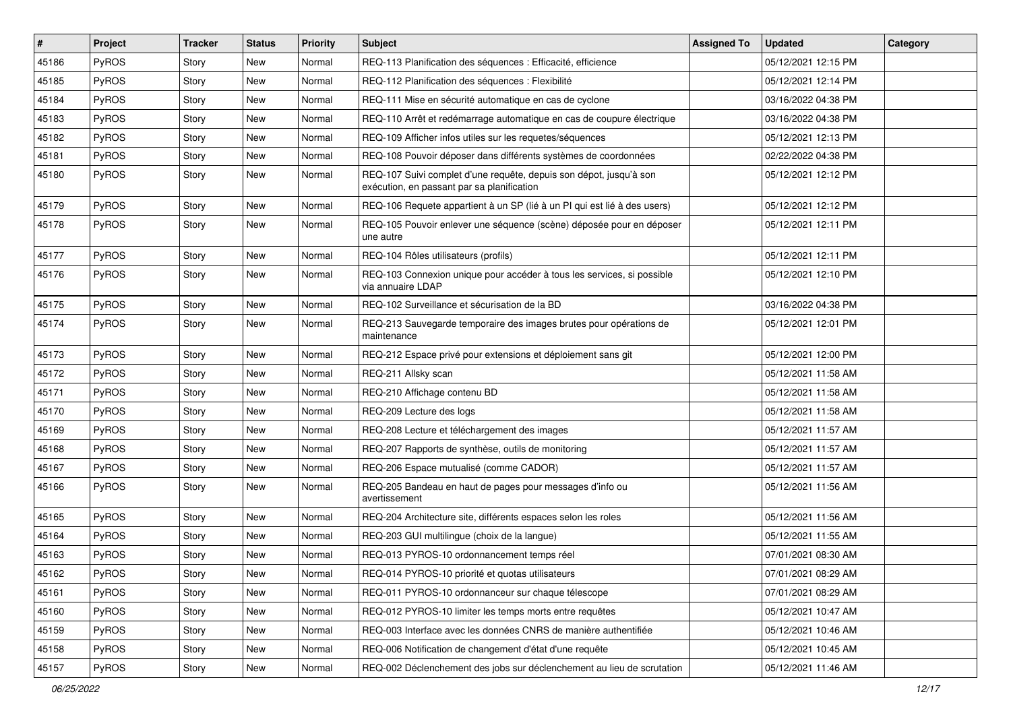| $\vert$ # | Project      | <b>Tracker</b> | <b>Status</b> | <b>Priority</b> | <b>Subject</b>                                                                                                   | <b>Assigned To</b> | <b>Updated</b>      | Category |
|-----------|--------------|----------------|---------------|-----------------|------------------------------------------------------------------------------------------------------------------|--------------------|---------------------|----------|
| 45186     | PyROS        | Story          | New           | Normal          | REQ-113 Planification des séquences : Efficacité, efficience                                                     |                    | 05/12/2021 12:15 PM |          |
| 45185     | PyROS        | Story          | New           | Normal          | REQ-112 Planification des séquences : Flexibilité                                                                |                    | 05/12/2021 12:14 PM |          |
| 45184     | PyROS        | Story          | New           | Normal          | REQ-111 Mise en sécurité automatique en cas de cyclone                                                           |                    | 03/16/2022 04:38 PM |          |
| 45183     | <b>PyROS</b> | Story          | New           | Normal          | REQ-110 Arrêt et redémarrage automatique en cas de coupure électrique                                            |                    | 03/16/2022 04:38 PM |          |
| 45182     | PyROS        | Story          | New           | Normal          | REQ-109 Afficher infos utiles sur les requetes/séquences                                                         |                    | 05/12/2021 12:13 PM |          |
| 45181     | <b>PyROS</b> | Story          | New           | Normal          | REQ-108 Pouvoir déposer dans différents systèmes de coordonnées                                                  |                    | 02/22/2022 04:38 PM |          |
| 45180     | PyROS        | Story          | New           | Normal          | REQ-107 Suivi complet d'une requête, depuis son dépot, jusqu'à son<br>exécution, en passant par sa planification |                    | 05/12/2021 12:12 PM |          |
| 45179     | PyROS        | Story          | New           | Normal          | REQ-106 Requete appartient à un SP (lié à un PI qui est lié à des users)                                         |                    | 05/12/2021 12:12 PM |          |
| 45178     | PyROS        | Story          | New           | Normal          | REQ-105 Pouvoir enlever une séquence (scène) déposée pour en déposer<br>une autre                                |                    | 05/12/2021 12:11 PM |          |
| 45177     | PyROS        | Story          | New           | Normal          | REQ-104 Rôles utilisateurs (profils)                                                                             |                    | 05/12/2021 12:11 PM |          |
| 45176     | PyROS        | Story          | New           | Normal          | REQ-103 Connexion unique pour accéder à tous les services, si possible<br>via annuaire LDAP                      |                    | 05/12/2021 12:10 PM |          |
| 45175     | PyROS        | Story          | New           | Normal          | REQ-102 Surveillance et sécurisation de la BD                                                                    |                    | 03/16/2022 04:38 PM |          |
| 45174     | <b>PyROS</b> | Story          | New           | Normal          | REQ-213 Sauvegarde temporaire des images brutes pour opérations de<br>maintenance                                |                    | 05/12/2021 12:01 PM |          |
| 45173     | PyROS        | Story          | <b>New</b>    | Normal          | REQ-212 Espace privé pour extensions et déploiement sans git                                                     |                    | 05/12/2021 12:00 PM |          |
| 45172     | PyROS        | Story          | New           | Normal          | REQ-211 Allsky scan                                                                                              |                    | 05/12/2021 11:58 AM |          |
| 45171     | PyROS        | Story          | New           | Normal          | REQ-210 Affichage contenu BD                                                                                     |                    | 05/12/2021 11:58 AM |          |
| 45170     | PyROS        | Story          | New           | Normal          | REQ-209 Lecture des logs                                                                                         |                    | 05/12/2021 11:58 AM |          |
| 45169     | <b>PyROS</b> | Story          | New           | Normal          | REQ-208 Lecture et téléchargement des images                                                                     |                    | 05/12/2021 11:57 AM |          |
| 45168     | PyROS        | Story          | New           | Normal          | REQ-207 Rapports de synthèse, outils de monitoring                                                               |                    | 05/12/2021 11:57 AM |          |
| 45167     | PyROS        | Story          | New           | Normal          | REQ-206 Espace mutualisé (comme CADOR)                                                                           |                    | 05/12/2021 11:57 AM |          |
| 45166     | PyROS        | Story          | New           | Normal          | REQ-205 Bandeau en haut de pages pour messages d'info ou<br>avertissement                                        |                    | 05/12/2021 11:56 AM |          |
| 45165     | <b>PyROS</b> | Story          | New           | Normal          | REQ-204 Architecture site, différents espaces selon les roles                                                    |                    | 05/12/2021 11:56 AM |          |
| 45164     | PyROS        | Story          | <b>New</b>    | Normal          | REQ-203 GUI multilingue (choix de la langue)                                                                     |                    | 05/12/2021 11:55 AM |          |
| 45163     | PyROS        | Story          | <b>New</b>    | Normal          | REQ-013 PYROS-10 ordonnancement temps réel                                                                       |                    | 07/01/2021 08:30 AM |          |
| 45162     | PyROS        | Story          | New           | Normal          | REQ-014 PYROS-10 priorité et quotas utilisateurs                                                                 |                    | 07/01/2021 08:29 AM |          |
| 45161     | PyROS        | Story          | New           | Normal          | REQ-011 PYROS-10 ordonnanceur sur chaque télescope                                                               |                    | 07/01/2021 08:29 AM |          |
| 45160     | PyROS        | Story          | New           | Normal          | REQ-012 PYROS-10 limiter les temps morts entre requêtes                                                          |                    | 05/12/2021 10:47 AM |          |
| 45159     | PyROS        | Story          | New           | Normal          | REQ-003 Interface avec les données CNRS de manière authentifiée                                                  |                    | 05/12/2021 10:46 AM |          |
| 45158     | PyROS        | Story          | New           | Normal          | REQ-006 Notification de changement d'état d'une requête                                                          |                    | 05/12/2021 10:45 AM |          |
| 45157     | PyROS        | Story          | New           | Normal          | REQ-002 Déclenchement des jobs sur déclenchement au lieu de scrutation                                           |                    | 05/12/2021 11:46 AM |          |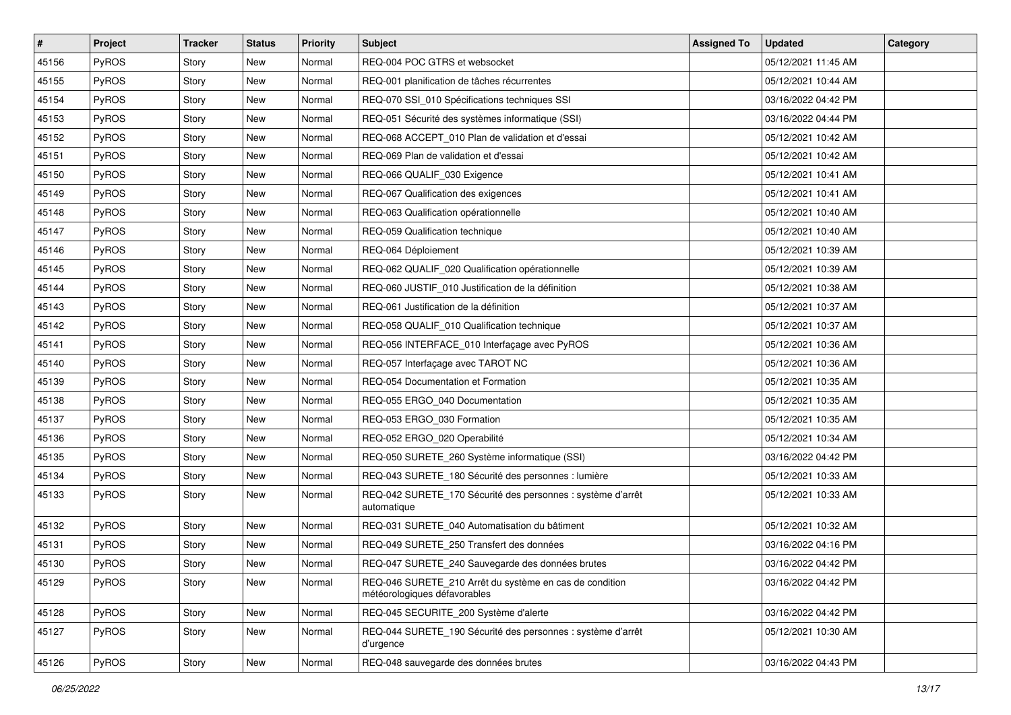| $\pmb{\#}$ | Project      | <b>Tracker</b> | <b>Status</b> | <b>Priority</b> | <b>Subject</b>                                                                          | <b>Assigned To</b> | <b>Updated</b>      | Category |
|------------|--------------|----------------|---------------|-----------------|-----------------------------------------------------------------------------------------|--------------------|---------------------|----------|
| 45156      | PyROS        | Story          | New           | Normal          | REQ-004 POC GTRS et websocket                                                           |                    | 05/12/2021 11:45 AM |          |
| 45155      | PyROS        | Story          | New           | Normal          | REQ-001 planification de tâches récurrentes                                             |                    | 05/12/2021 10:44 AM |          |
| 45154      | PyROS        | Story          | New           | Normal          | REQ-070 SSI_010 Spécifications techniques SSI                                           |                    | 03/16/2022 04:42 PM |          |
| 45153      | PyROS        | Story          | New           | Normal          | REQ-051 Sécurité des systèmes informatique (SSI)                                        |                    | 03/16/2022 04:44 PM |          |
| 45152      | PyROS        | Story          | New           | Normal          | REQ-068 ACCEPT_010 Plan de validation et d'essai                                        |                    | 05/12/2021 10:42 AM |          |
| 45151      | PyROS        | Story          | New           | Normal          | REQ-069 Plan de validation et d'essai                                                   |                    | 05/12/2021 10:42 AM |          |
| 45150      | PyROS        | Story          | New           | Normal          | REQ-066 QUALIF_030 Exigence                                                             |                    | 05/12/2021 10:41 AM |          |
| 45149      | <b>PyROS</b> | Story          | New           | Normal          | REQ-067 Qualification des exigences                                                     |                    | 05/12/2021 10:41 AM |          |
| 45148      | PyROS        | Story          | New           | Normal          | REQ-063 Qualification opérationnelle                                                    |                    | 05/12/2021 10:40 AM |          |
| 45147      | PyROS        | Story          | New           | Normal          | REQ-059 Qualification technique                                                         |                    | 05/12/2021 10:40 AM |          |
| 45146      | PyROS        | Story          | New           | Normal          | REQ-064 Déploiement                                                                     |                    | 05/12/2021 10:39 AM |          |
| 45145      | PyROS        | Story          | New           | Normal          | REQ-062 QUALIF_020 Qualification opérationnelle                                         |                    | 05/12/2021 10:39 AM |          |
| 45144      | PyROS        | Story          | New           | Normal          | REQ-060 JUSTIF_010 Justification de la définition                                       |                    | 05/12/2021 10:38 AM |          |
| 45143      | PyROS        | Story          | New           | Normal          | REQ-061 Justification de la définition                                                  |                    | 05/12/2021 10:37 AM |          |
| 45142      | PyROS        | Story          | <b>New</b>    | Normal          | REQ-058 QUALIF_010 Qualification technique                                              |                    | 05/12/2021 10:37 AM |          |
| 45141      | PyROS        | Story          | New           | Normal          | REQ-056 INTERFACE_010 Interfaçage avec PyROS                                            |                    | 05/12/2021 10:36 AM |          |
| 45140      | PyROS        | Story          | New           | Normal          | REQ-057 Interfaçage avec TAROT NC                                                       |                    | 05/12/2021 10:36 AM |          |
| 45139      | PyROS        | Story          | New           | Normal          | REQ-054 Documentation et Formation                                                      |                    | 05/12/2021 10:35 AM |          |
| 45138      | PyROS        | Story          | New           | Normal          | REQ-055 ERGO_040 Documentation                                                          |                    | 05/12/2021 10:35 AM |          |
| 45137      | PyROS        | Story          | <b>New</b>    | Normal          | REQ-053 ERGO_030 Formation                                                              |                    | 05/12/2021 10:35 AM |          |
| 45136      | PyROS        | Story          | New           | Normal          | REQ-052 ERGO_020 Operabilité                                                            |                    | 05/12/2021 10:34 AM |          |
| 45135      | PyROS        | Story          | New           | Normal          | REQ-050 SURETE_260 Système informatique (SSI)                                           |                    | 03/16/2022 04:42 PM |          |
| 45134      | PyROS        | Story          | New           | Normal          | REQ-043 SURETE_180 Sécurité des personnes : lumière                                     |                    | 05/12/2021 10:33 AM |          |
| 45133      | PyROS        | Story          | New           | Normal          | REQ-042 SURETE_170 Sécurité des personnes : système d'arrêt<br>automatique              |                    | 05/12/2021 10:33 AM |          |
| 45132      | PyROS        | Story          | New           | Normal          | REQ-031 SURETE_040 Automatisation du bâtiment                                           |                    | 05/12/2021 10:32 AM |          |
| 45131      | PyROS        | Story          | New           | Normal          | REQ-049 SURETE_250 Transfert des données                                                |                    | 03/16/2022 04:16 PM |          |
| 45130      | PyROS        | Story          | <b>New</b>    | Normal          | REQ-047 SURETE_240 Sauvegarde des données brutes                                        |                    | 03/16/2022 04:42 PM |          |
| 45129      | PyROS        | Story          | New           | Normal          | REQ-046 SURETE_210 Arrêt du système en cas de condition<br>météorologiques défavorables |                    | 03/16/2022 04:42 PM |          |
| 45128      | PyROS        | Story          | New           | Normal          | REQ-045 SECURITE_200 Système d'alerte                                                   |                    | 03/16/2022 04:42 PM |          |
| 45127      | PyROS        | Story          | New           | Normal          | REQ-044 SURETE_190 Sécurité des personnes : système d'arrêt<br>d'urgence                |                    | 05/12/2021 10:30 AM |          |
| 45126      | PyROS        | Story          | New           | Normal          | REQ-048 sauvegarde des données brutes                                                   |                    | 03/16/2022 04:43 PM |          |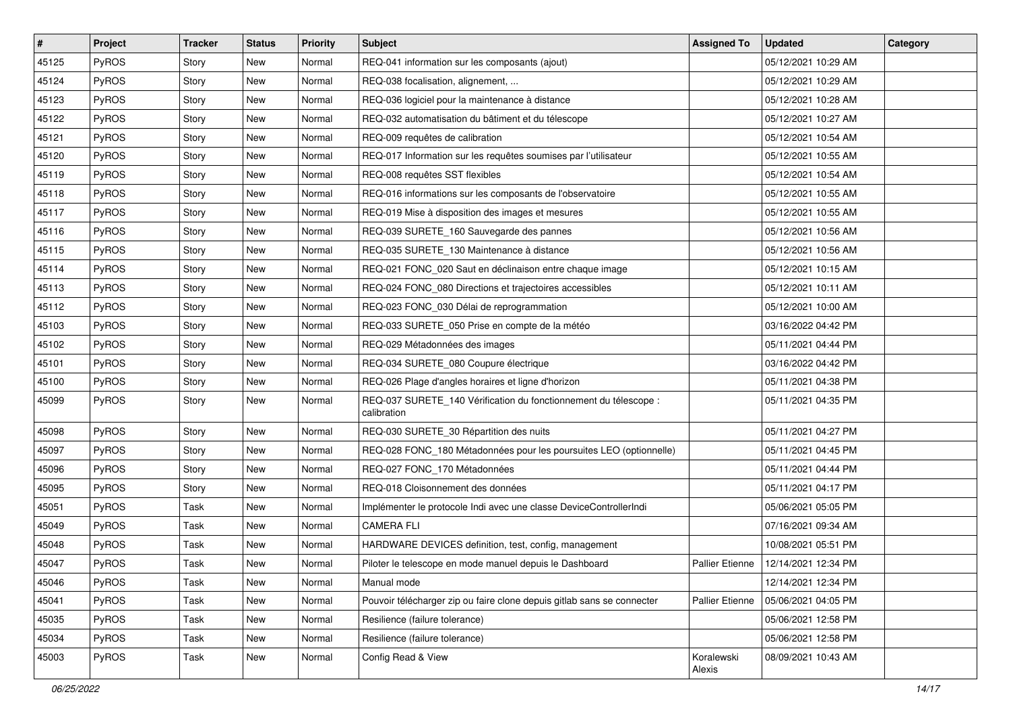| $\vert$ # | Project      | <b>Tracker</b> | <b>Status</b> | <b>Priority</b> | <b>Subject</b>                                                                  | <b>Assigned To</b>     | <b>Updated</b>      | Category |
|-----------|--------------|----------------|---------------|-----------------|---------------------------------------------------------------------------------|------------------------|---------------------|----------|
| 45125     | PyROS        | Story          | New           | Normal          | REQ-041 information sur les composants (ajout)                                  |                        | 05/12/2021 10:29 AM |          |
| 45124     | PyROS        | Story          | New           | Normal          | REQ-038 focalisation, alignement,                                               |                        | 05/12/2021 10:29 AM |          |
| 45123     | <b>PyROS</b> | Story          | New           | Normal          | REQ-036 logiciel pour la maintenance à distance                                 |                        | 05/12/2021 10:28 AM |          |
| 45122     | PyROS        | Story          | New           | Normal          | REQ-032 automatisation du bâtiment et du télescope                              |                        | 05/12/2021 10:27 AM |          |
| 45121     | PyROS        | Story          | New           | Normal          | REQ-009 requêtes de calibration                                                 |                        | 05/12/2021 10:54 AM |          |
| 45120     | PyROS        | Story          | New           | Normal          | REQ-017 Information sur les requêtes soumises par l'utilisateur                 |                        | 05/12/2021 10:55 AM |          |
| 45119     | PyROS        | Story          | New           | Normal          | REQ-008 requêtes SST flexibles                                                  |                        | 05/12/2021 10:54 AM |          |
| 45118     | <b>PyROS</b> | Story          | New           | Normal          | REQ-016 informations sur les composants de l'observatoire                       |                        | 05/12/2021 10:55 AM |          |
| 45117     | PyROS        | Story          | New           | Normal          | REQ-019 Mise à disposition des images et mesures                                |                        | 05/12/2021 10:55 AM |          |
| 45116     | PyROS        | Story          | New           | Normal          | REQ-039 SURETE_160 Sauvegarde des pannes                                        |                        | 05/12/2021 10:56 AM |          |
| 45115     | PyROS        | Story          | New           | Normal          | REQ-035 SURETE 130 Maintenance à distance                                       |                        | 05/12/2021 10:56 AM |          |
| 45114     | PyROS        | Story          | New           | Normal          | REQ-021 FONC_020 Saut en déclinaison entre chaque image                         |                        | 05/12/2021 10:15 AM |          |
| 45113     | PyROS        | Story          | New           | Normal          | REQ-024 FONC_080 Directions et trajectoires accessibles                         |                        | 05/12/2021 10:11 AM |          |
| 45112     | PyROS        | Story          | New           | Normal          | REQ-023 FONC_030 Délai de reprogrammation                                       |                        | 05/12/2021 10:00 AM |          |
| 45103     | PyROS        | Story          | New           | Normal          | REQ-033 SURETE_050 Prise en compte de la météo                                  |                        | 03/16/2022 04:42 PM |          |
| 45102     | PyROS        | Story          | New           | Normal          | REQ-029 Métadonnées des images                                                  |                        | 05/11/2021 04:44 PM |          |
| 45101     | PyROS        | Story          | New           | Normal          | REQ-034 SURETE_080 Coupure électrique                                           |                        | 03/16/2022 04:42 PM |          |
| 45100     | PyROS        | Story          | New           | Normal          | REQ-026 Plage d'angles horaires et ligne d'horizon                              |                        | 05/11/2021 04:38 PM |          |
| 45099     | PyROS        | Story          | New           | Normal          | REQ-037 SURETE_140 Vérification du fonctionnement du télescope :<br>calibration |                        | 05/11/2021 04:35 PM |          |
| 45098     | PyROS        | Story          | New           | Normal          | REQ-030 SURETE 30 Répartition des nuits                                         |                        | 05/11/2021 04:27 PM |          |
| 45097     | PyROS        | Story          | New           | Normal          | REQ-028 FONC_180 Métadonnées pour les poursuites LEO (optionnelle)              |                        | 05/11/2021 04:45 PM |          |
| 45096     | PyROS        | Story          | New           | Normal          | REQ-027 FONC_170 Métadonnées                                                    |                        | 05/11/2021 04:44 PM |          |
| 45095     | PyROS        | Story          | New           | Normal          | REQ-018 Cloisonnement des données                                               |                        | 05/11/2021 04:17 PM |          |
| 45051     | PyROS        | Task           | New           | Normal          | Implémenter le protocole Indi avec une classe DeviceControllerIndi              |                        | 05/06/2021 05:05 PM |          |
| 45049     | PyROS        | Task           | New           | Normal          | <b>CAMERA FLI</b>                                                               |                        | 07/16/2021 09:34 AM |          |
| 45048     | PyROS        | Task           | New           | Normal          | HARDWARE DEVICES definition, test, config, management                           |                        | 10/08/2021 05:51 PM |          |
| 45047     | PyROS        | Task           | New           | Normal          | Piloter le telescope en mode manuel depuis le Dashboard                         | Pallier Etienne        | 12/14/2021 12:34 PM |          |
| 45046     | PyROS        | Task           | New           | Normal          | Manual mode                                                                     |                        | 12/14/2021 12:34 PM |          |
| 45041     | PyROS        | Task           | New           | Normal          | Pouvoir télécharger zip ou faire clone depuis gitlab sans se connecter          | <b>Pallier Etienne</b> | 05/06/2021 04:05 PM |          |
| 45035     | PyROS        | Task           | New           | Normal          | Resilience (failure tolerance)                                                  |                        | 05/06/2021 12:58 PM |          |
| 45034     | PyROS        | Task           | New           | Normal          | Resilience (failure tolerance)                                                  |                        | 05/06/2021 12:58 PM |          |
| 45003     | PyROS        | Task           | New           | Normal          | Config Read & View                                                              | Koralewski<br>Alexis   | 08/09/2021 10:43 AM |          |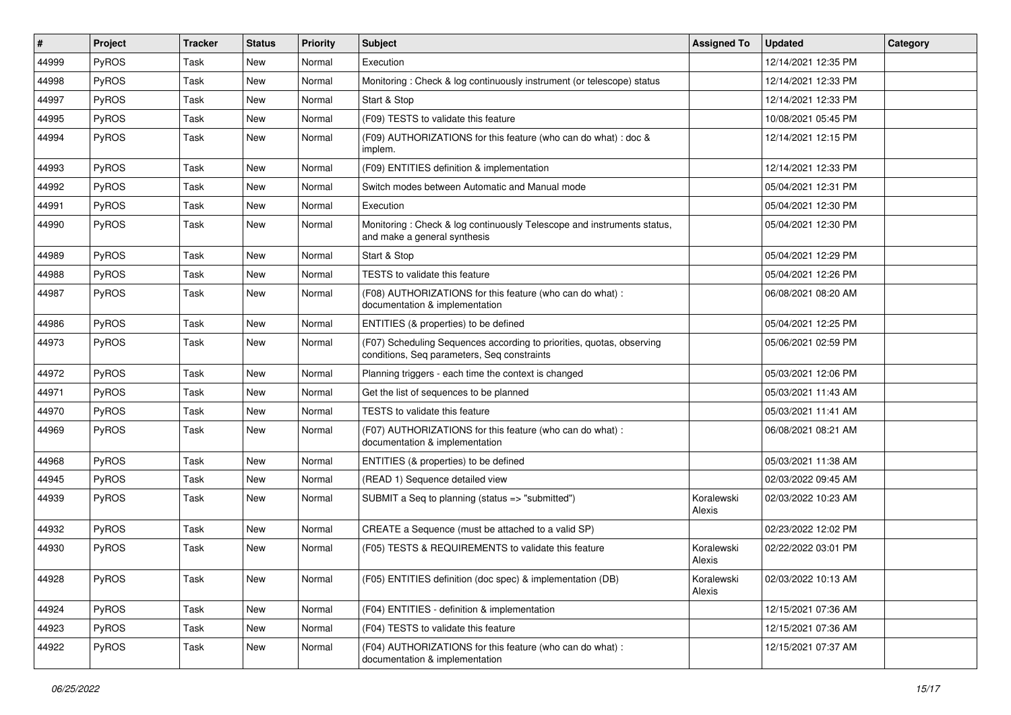| $\vert$ # | Project | <b>Tracker</b> | <b>Status</b> | <b>Priority</b> | <b>Subject</b>                                                                                                       | <b>Assigned To</b>   | <b>Updated</b>      | Category |
|-----------|---------|----------------|---------------|-----------------|----------------------------------------------------------------------------------------------------------------------|----------------------|---------------------|----------|
| 44999     | PyROS   | Task           | New           | Normal          | Execution                                                                                                            |                      | 12/14/2021 12:35 PM |          |
| 44998     | PyROS   | Task           | New           | Normal          | Monitoring: Check & log continuously instrument (or telescope) status                                                |                      | 12/14/2021 12:33 PM |          |
| 44997     | PyROS   | Task           | New           | Normal          | Start & Stop                                                                                                         |                      | 12/14/2021 12:33 PM |          |
| 44995     | PyROS   | Task           | New           | Normal          | (F09) TESTS to validate this feature                                                                                 |                      | 10/08/2021 05:45 PM |          |
| 44994     | PyROS   | Task           | New           | Normal          | (F09) AUTHORIZATIONS for this feature (who can do what) : doc &<br>implem.                                           |                      | 12/14/2021 12:15 PM |          |
| 44993     | PyROS   | Task           | <b>New</b>    | Normal          | (F09) ENTITIES definition & implementation                                                                           |                      | 12/14/2021 12:33 PM |          |
| 44992     | PyROS   | Task           | New           | Normal          | Switch modes between Automatic and Manual mode                                                                       |                      | 05/04/2021 12:31 PM |          |
| 44991     | PyROS   | Task           | New           | Normal          | Execution                                                                                                            |                      | 05/04/2021 12:30 PM |          |
| 44990     | PyROS   | Task           | New           | Normal          | Monitoring: Check & log continuously Telescope and instruments status,<br>and make a general synthesis               |                      | 05/04/2021 12:30 PM |          |
| 44989     | PyROS   | Task           | New           | Normal          | Start & Stop                                                                                                         |                      | 05/04/2021 12:29 PM |          |
| 44988     | PyROS   | Task           | <b>New</b>    | Normal          | TESTS to validate this feature                                                                                       |                      | 05/04/2021 12:26 PM |          |
| 44987     | PyROS   | Task           | New           | Normal          | (F08) AUTHORIZATIONS for this feature (who can do what) :<br>documentation & implementation                          |                      | 06/08/2021 08:20 AM |          |
| 44986     | PyROS   | Task           | New           | Normal          | ENTITIES (& properties) to be defined                                                                                |                      | 05/04/2021 12:25 PM |          |
| 44973     | PyROS   | Task           | New           | Normal          | (F07) Scheduling Sequences according to priorities, quotas, observing<br>conditions, Seq parameters, Seq constraints |                      | 05/06/2021 02:59 PM |          |
| 44972     | PyROS   | Task           | New           | Normal          | Planning triggers - each time the context is changed                                                                 |                      | 05/03/2021 12:06 PM |          |
| 44971     | PyROS   | Task           | New           | Normal          | Get the list of sequences to be planned                                                                              |                      | 05/03/2021 11:43 AM |          |
| 44970     | PyROS   | Task           | New           | Normal          | TESTS to validate this feature                                                                                       |                      | 05/03/2021 11:41 AM |          |
| 44969     | PyROS   | Task           | New           | Normal          | (F07) AUTHORIZATIONS for this feature (who can do what) :<br>documentation & implementation                          |                      | 06/08/2021 08:21 AM |          |
| 44968     | PyROS   | Task           | New           | Normal          | ENTITIES (& properties) to be defined                                                                                |                      | 05/03/2021 11:38 AM |          |
| 44945     | PyROS   | Task           | New           | Normal          | (READ 1) Sequence detailed view                                                                                      |                      | 02/03/2022 09:45 AM |          |
| 44939     | PyROS   | Task           | New           | Normal          | SUBMIT a Seq to planning (status => "submitted")                                                                     | Koralewski<br>Alexis | 02/03/2022 10:23 AM |          |
| 44932     | PyROS   | Task           | New           | Normal          | CREATE a Sequence (must be attached to a valid SP)                                                                   |                      | 02/23/2022 12:02 PM |          |
| 44930     | PyROS   | Task           | <b>New</b>    | Normal          | (F05) TESTS & REQUIREMENTS to validate this feature                                                                  | Koralewski<br>Alexis | 02/22/2022 03:01 PM |          |
| 44928     | PyROS   | Task           | New           | Normal          | (F05) ENTITIES definition (doc spec) & implementation (DB)                                                           | Koralewski<br>Alexis | 02/03/2022 10:13 AM |          |
| 44924     | PyROS   | Task           | New           | Normal          | (F04) ENTITIES - definition & implementation                                                                         |                      | 12/15/2021 07:36 AM |          |
| 44923     | PyROS   | Task           | New           | Normal          | (F04) TESTS to validate this feature                                                                                 |                      | 12/15/2021 07:36 AM |          |
| 44922     | PyROS   | Task           | New           | Normal          | (F04) AUTHORIZATIONS for this feature (who can do what) :<br>documentation & implementation                          |                      | 12/15/2021 07:37 AM |          |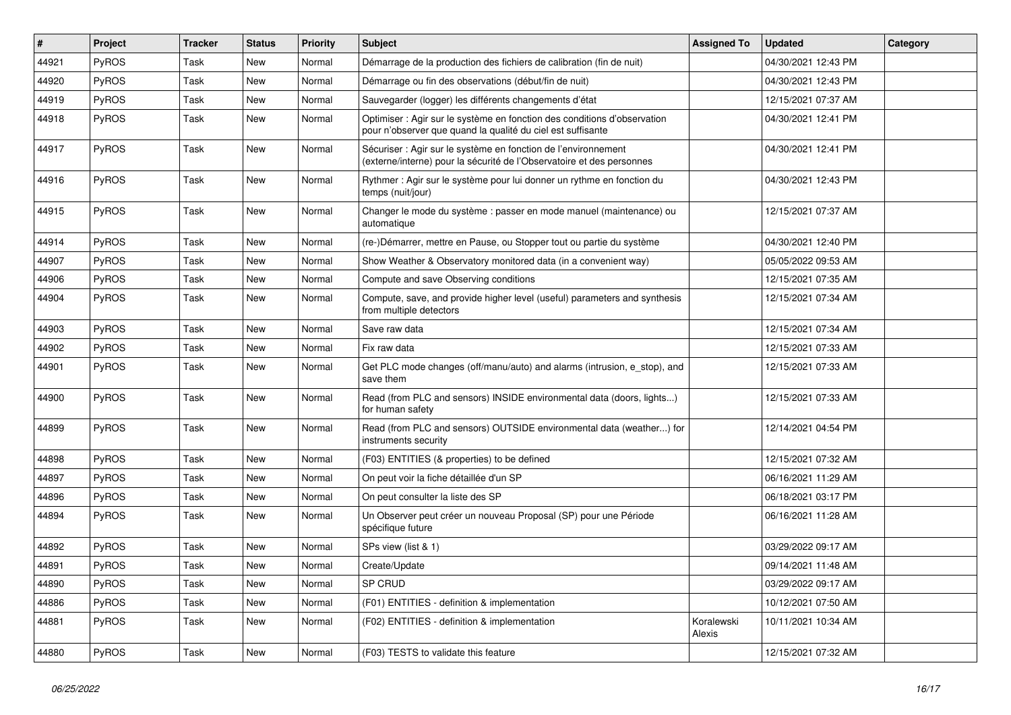| #     | Project | <b>Tracker</b> | <b>Status</b> | <b>Priority</b> | <b>Subject</b>                                                                                                                          | <b>Assigned To</b>   | <b>Updated</b>      | Category |
|-------|---------|----------------|---------------|-----------------|-----------------------------------------------------------------------------------------------------------------------------------------|----------------------|---------------------|----------|
| 44921 | PyROS   | Task           | <b>New</b>    | Normal          | Démarrage de la production des fichiers de calibration (fin de nuit)                                                                    |                      | 04/30/2021 12:43 PM |          |
| 44920 | PyROS   | Task           | <b>New</b>    | Normal          | Démarrage ou fin des observations (début/fin de nuit)                                                                                   |                      | 04/30/2021 12:43 PM |          |
| 44919 | PyROS   | Task           | New           | Normal          | Sauvegarder (logger) les différents changements d'état                                                                                  |                      | 12/15/2021 07:37 AM |          |
| 44918 | PyROS   | Task           | New           | Normal          | Optimiser : Agir sur le système en fonction des conditions d'observation<br>pour n'observer que quand la qualité du ciel est suffisante |                      | 04/30/2021 12:41 PM |          |
| 44917 | PyROS   | Task           | New           | Normal          | Sécuriser : Agir sur le système en fonction de l'environnement<br>(externe/interne) pour la sécurité de l'Observatoire et des personnes |                      | 04/30/2021 12:41 PM |          |
| 44916 | PyROS   | Task           | New           | Normal          | Rythmer : Agir sur le système pour lui donner un rythme en fonction du<br>temps (nuit/jour)                                             |                      | 04/30/2021 12:43 PM |          |
| 44915 | PyROS   | Task           | New           | Normal          | Changer le mode du système : passer en mode manuel (maintenance) ou<br>automatique                                                      |                      | 12/15/2021 07:37 AM |          |
| 44914 | PyROS   | Task           | New           | Normal          | (re-)Démarrer, mettre en Pause, ou Stopper tout ou partie du système                                                                    |                      | 04/30/2021 12:40 PM |          |
| 44907 | PyROS   | Task           | <b>New</b>    | Normal          | Show Weather & Observatory monitored data (in a convenient way)                                                                         |                      | 05/05/2022 09:53 AM |          |
| 44906 | PyROS   | Task           | New           | Normal          | Compute and save Observing conditions                                                                                                   |                      | 12/15/2021 07:35 AM |          |
| 44904 | PyROS   | Task           | New           | Normal          | Compute, save, and provide higher level (useful) parameters and synthesis<br>from multiple detectors                                    |                      | 12/15/2021 07:34 AM |          |
| 44903 | PyROS   | Task           | <b>New</b>    | Normal          | Save raw data                                                                                                                           |                      | 12/15/2021 07:34 AM |          |
| 44902 | PyROS   | Task           | New           | Normal          | Fix raw data                                                                                                                            |                      | 12/15/2021 07:33 AM |          |
| 44901 | PyROS   | Task           | New           | Normal          | Get PLC mode changes (off/manu/auto) and alarms (intrusion, e_stop), and<br>save them                                                   |                      | 12/15/2021 07:33 AM |          |
| 44900 | PyROS   | Task           | New           | Normal          | Read (from PLC and sensors) INSIDE environmental data (doors, lights)<br>for human safety                                               |                      | 12/15/2021 07:33 AM |          |
| 44899 | PyROS   | Task           | New           | Normal          | Read (from PLC and sensors) OUTSIDE environmental data (weather) for<br>instruments security                                            |                      | 12/14/2021 04:54 PM |          |
| 44898 | PyROS   | Task           | <b>New</b>    | Normal          | (F03) ENTITIES (& properties) to be defined                                                                                             |                      | 12/15/2021 07:32 AM |          |
| 44897 | PyROS   | Task           | <b>New</b>    | Normal          | On peut voir la fiche détaillée d'un SP                                                                                                 |                      | 06/16/2021 11:29 AM |          |
| 44896 | PyROS   | Task           | New           | Normal          | On peut consulter la liste des SP                                                                                                       |                      | 06/18/2021 03:17 PM |          |
| 44894 | PyROS   | Task           | New           | Normal          | Un Observer peut créer un nouveau Proposal (SP) pour une Période<br>spécifique future                                                   |                      | 06/16/2021 11:28 AM |          |
| 44892 | PyROS   | Task           | New           | Normal          | SPs view (list & 1)                                                                                                                     |                      | 03/29/2022 09:17 AM |          |
| 44891 | PyROS   | Task           | New           | Normal          | Create/Update                                                                                                                           |                      | 09/14/2021 11:48 AM |          |
| 44890 | PyROS   | Task           | New           | Normal          | SP CRUD                                                                                                                                 |                      | 03/29/2022 09:17 AM |          |
| 44886 | PyROS   | Task           | New           | Normal          | (F01) ENTITIES - definition & implementation                                                                                            |                      | 10/12/2021 07:50 AM |          |
| 44881 | PyROS   | Task           | New           | Normal          | (F02) ENTITIES - definition & implementation                                                                                            | Koralewski<br>Alexis | 10/11/2021 10:34 AM |          |
| 44880 | PyROS   | Task           | New           | Normal          | (F03) TESTS to validate this feature                                                                                                    |                      | 12/15/2021 07:32 AM |          |